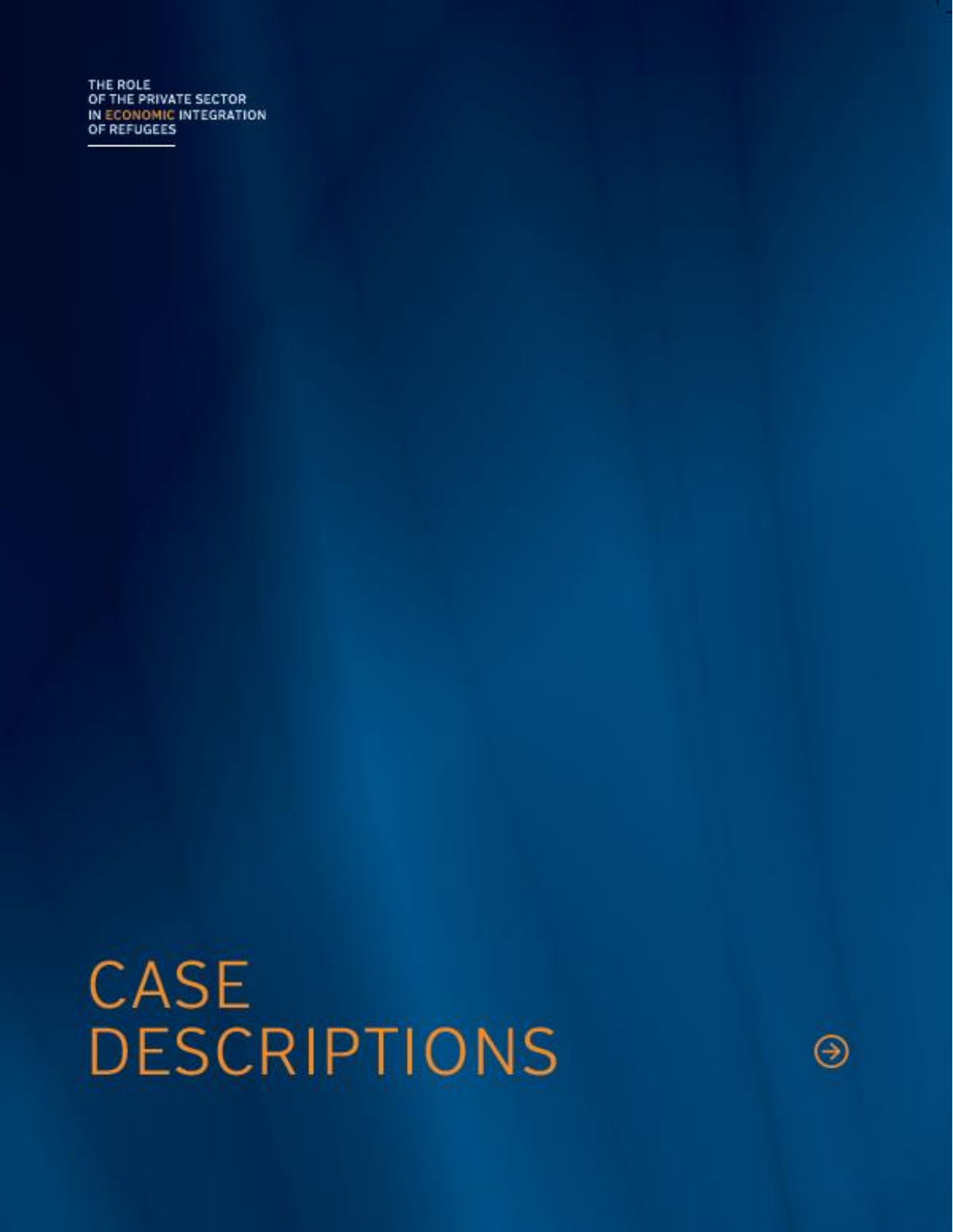THE ROLE OF THE PRIVATE SECTOR IN ECONOMIC INTEGRATION<br>OF REFUGEES

**CASE DESCRIPTIONS** 

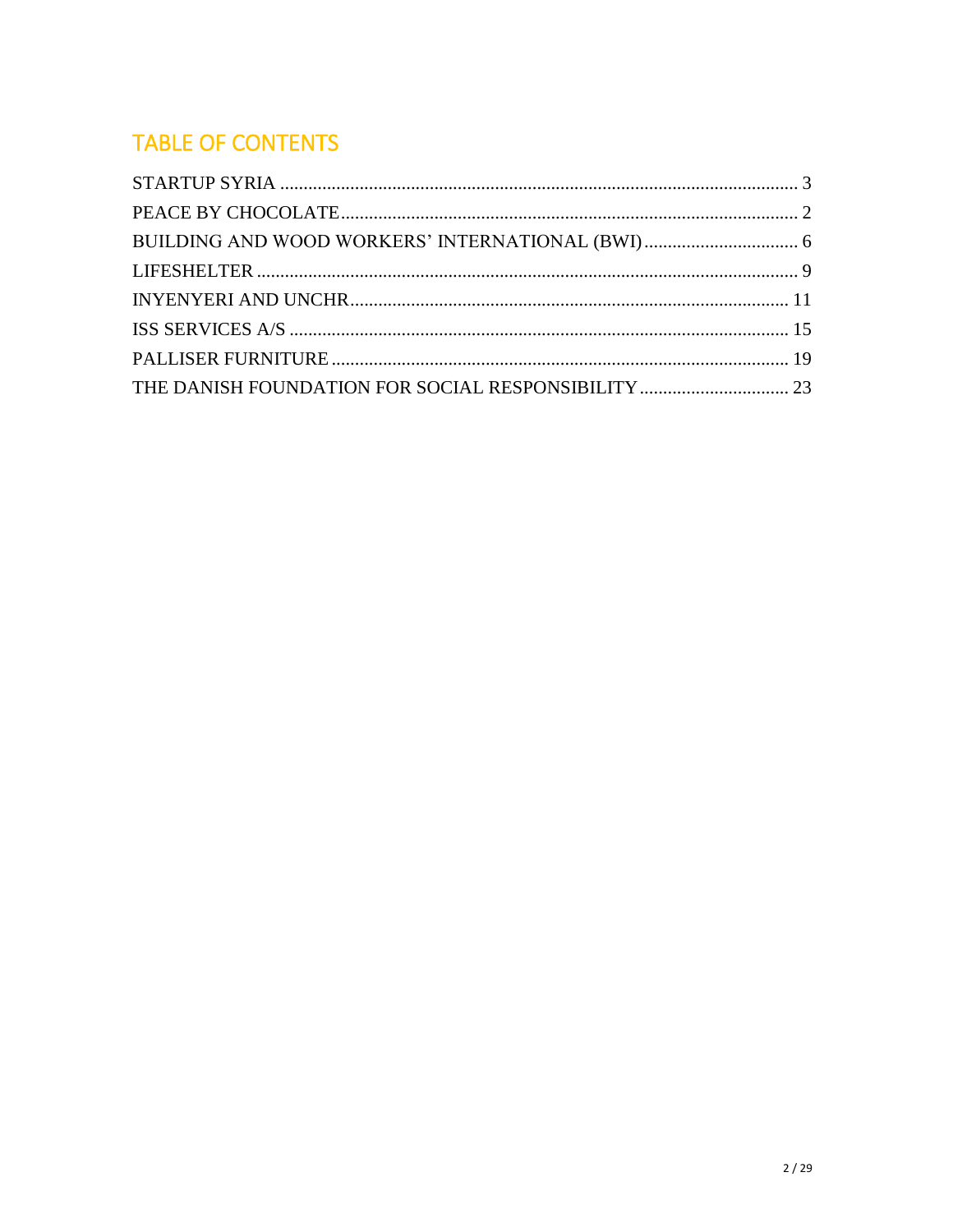# **TABLE OF CONTENTS**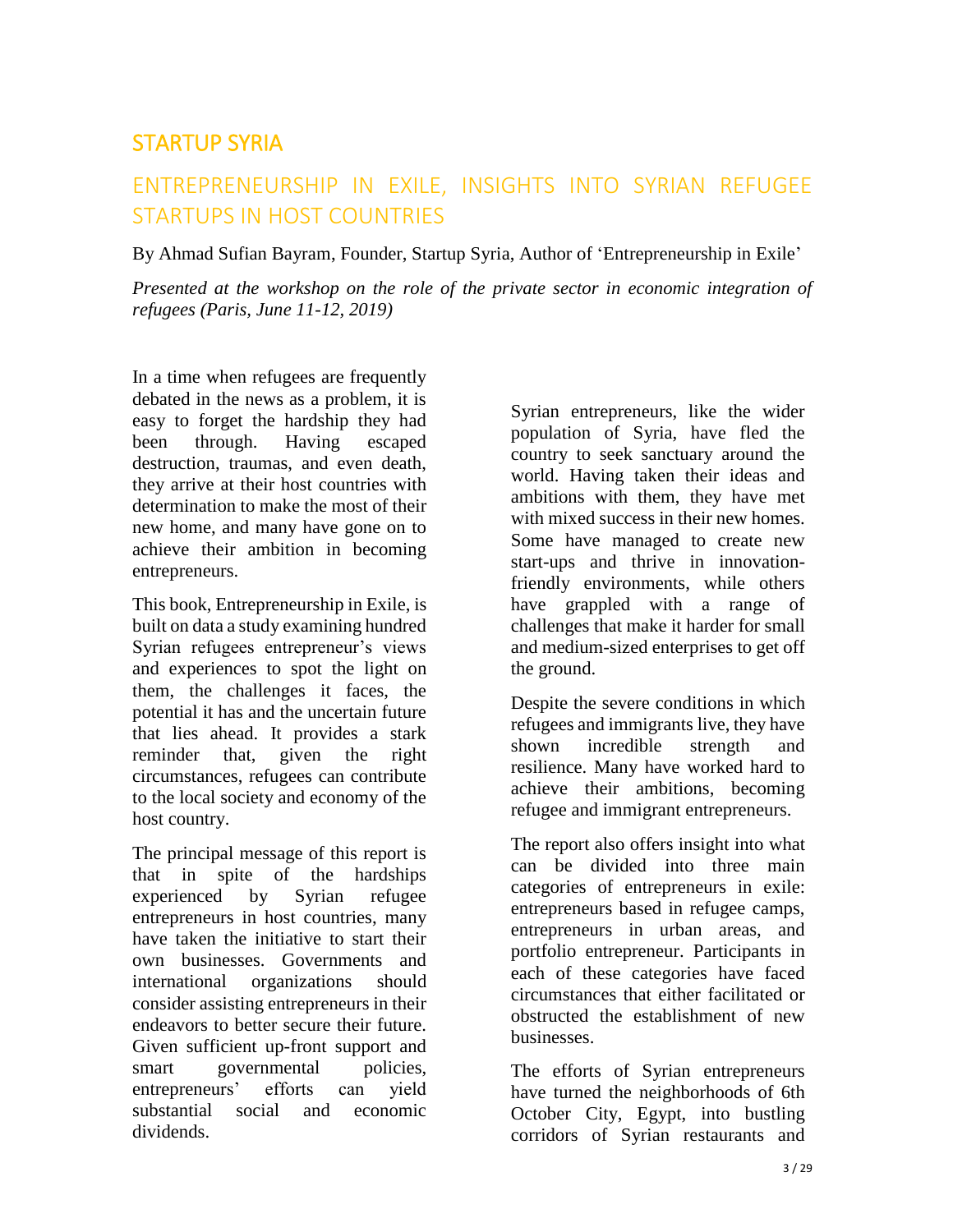## <span id="page-2-0"></span>STARTUP SYRIA

## ENTREPRENEURSHIP IN EXILE, INSIGHTS INTO SYRIAN REFUGEE STARTUPS IN HOST COUNTRIES

By Ahmad Sufian Bayram, Founder, Startup Syria, Author of 'Entrepreneurship in Exile'

*Presented at the workshop on the role of the private sector in economic integration of refugees (Paris, June 11-12, 2019)* 

In a time when refugees are frequently debated in the news as a problem, it is easy to forget the hardship they had been through. Having escaped destruction, traumas, and even death, they arrive at their host countries with determination to make the most of their new home, and many have gone on to achieve their ambition in becoming entrepreneurs.

This book, Entrepreneurship in Exile, is built on data a study examining hundred Syrian refugees entrepreneur's views and experiences to spot the light on them, the challenges it faces, the potential it has and the uncertain future that lies ahead. It provides a stark reminder that, given the right circumstances, refugees can contribute to the local society and economy of the host country.

The principal message of this report is that in spite of the hardships experienced by Syrian refugee entrepreneurs in host countries, many have taken the initiative to start their own businesses. Governments and international organizations should consider assisting entrepreneurs in their endeavors to better secure their future. Given sufficient up-front support and smart governmental policies, entrepreneurs' efforts can yield substantial social and economic dividends.

Syrian entrepreneurs, like the wider population of Syria, have fled the country to seek sanctuary around the world. Having taken their ideas and ambitions with them, they have met with mixed success in their new homes. Some have managed to create new start-ups and thrive in innovationfriendly environments, while others have grappled with a range of challenges that make it harder for small and medium-sized enterprises to get off the ground.

Despite the severe conditions in which refugees and immigrants live, they have shown incredible strength and resilience. Many have worked hard to achieve their ambitions, becoming refugee and immigrant entrepreneurs.

The report also offers insight into what can be divided into three main categories of entrepreneurs in exile: entrepreneurs based in refugee camps, entrepreneurs in urban areas, and portfolio entrepreneur. Participants in each of these categories have faced circumstances that either facilitated or obstructed the establishment of new businesses.

The efforts of Syrian entrepreneurs have turned the neighborhoods of 6th October City, Egypt, into bustling corridors of Syrian restaurants and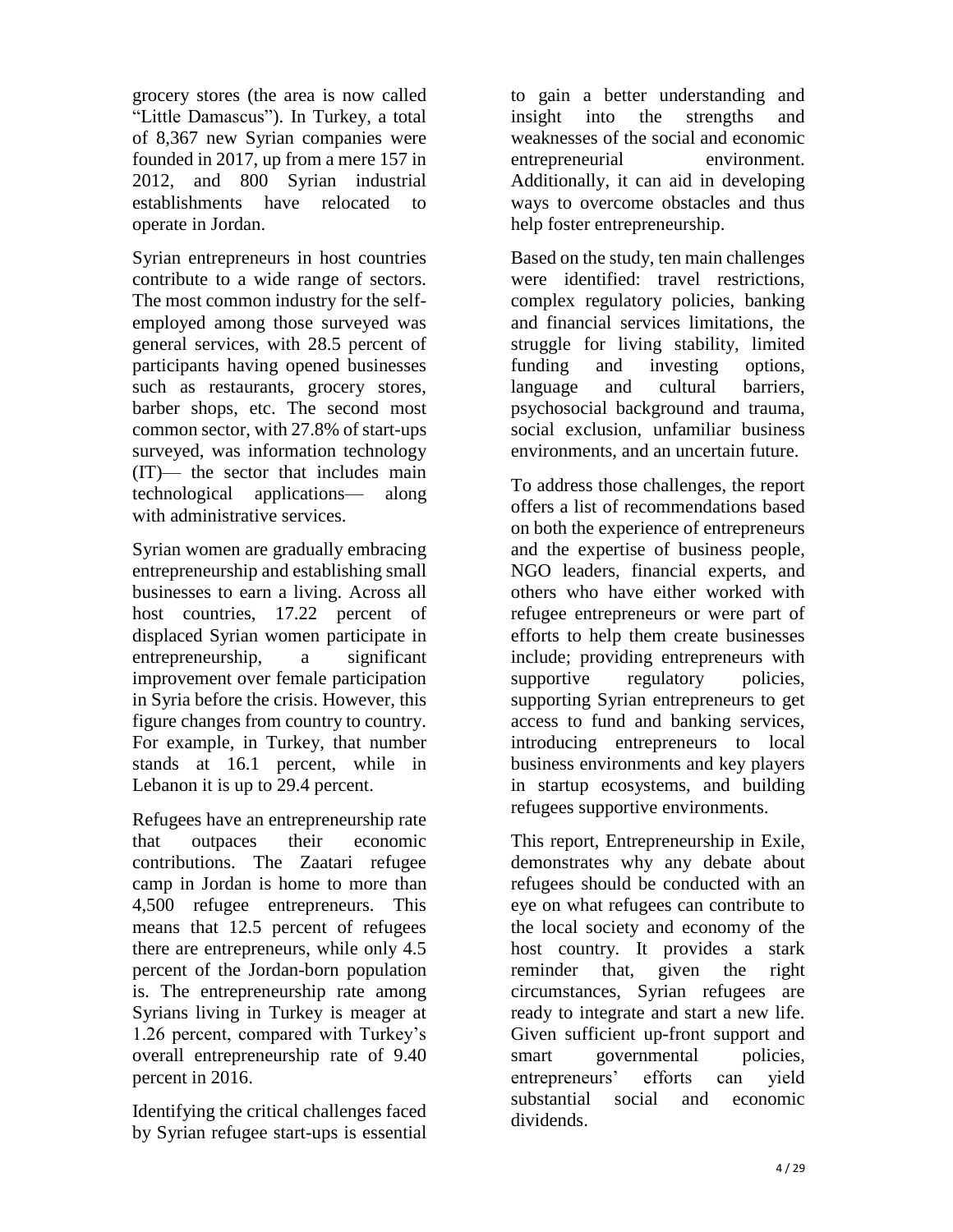grocery stores (the area is now called "Little Damascus"). In Turkey, a total of 8,367 new Syrian companies were founded in 2017, up from a mere 157 in 2012, and 800 Syrian industrial establishments have relocated to operate in Jordan.

Syrian entrepreneurs in host countries contribute to a wide range of sectors. The most common industry for the selfemployed among those surveyed was general services, with 28.5 percent of participants having opened businesses such as restaurants, grocery stores, barber shops, etc. The second most common sector, with 27.8% of start-ups surveyed, was information technology (IT)— the sector that includes main technological applications— along with administrative services.

Syrian women are gradually embracing entrepreneurship and establishing small businesses to earn a living. Across all host countries, 17.22 percent of displaced Syrian women participate in entrepreneurship, a significant improvement over female participation in Syria before the crisis. However, this figure changes from country to country. For example, in Turkey, that number stands at 16.1 percent, while in Lebanon it is up to 29.4 percent.

Refugees have an entrepreneurship rate that outpaces their economic contributions. The Zaatari refugee camp in Jordan is home to more than 4,500 refugee entrepreneurs. This means that 12.5 percent of refugees there are entrepreneurs, while only 4.5 percent of the Jordan-born population is. The entrepreneurship rate among Syrians living in Turkey is meager at 1.26 percent, compared with Turkey's overall entrepreneurship rate of 9.40 percent in 2016.

Identifying the critical challenges faced by Syrian refugee start-ups is essential

to gain a better understanding and insight into the strengths and weaknesses of the social and economic entrepreneurial environment. Additionally, it can aid in developing ways to overcome obstacles and thus help foster entrepreneurship.

Based on the study, ten main challenges were identified: travel restrictions, complex regulatory policies, banking and financial services limitations, the struggle for living stability, limited funding and investing options, language and cultural barriers, psychosocial background and trauma, social exclusion, unfamiliar business environments, and an uncertain future.

To address those challenges, the report offers a list of recommendations based on both the experience of entrepreneurs and the expertise of business people, NGO leaders, financial experts, and others who have either worked with refugee entrepreneurs or were part of efforts to help them create businesses include; providing entrepreneurs with supportive regulatory policies, supporting Syrian entrepreneurs to get access to fund and banking services, introducing entrepreneurs to local business environments and key players in startup ecosystems, and building refugees supportive environments.

This report, Entrepreneurship in Exile, demonstrates why any debate about refugees should be conducted with an eye on what refugees can contribute to the local society and economy of the host country. It provides a stark reminder that, given the right circumstances, Syrian refugees are ready to integrate and start a new life. Given sufficient up-front support and smart governmental policies, entrepreneurs' efforts can yield substantial social and economic dividends.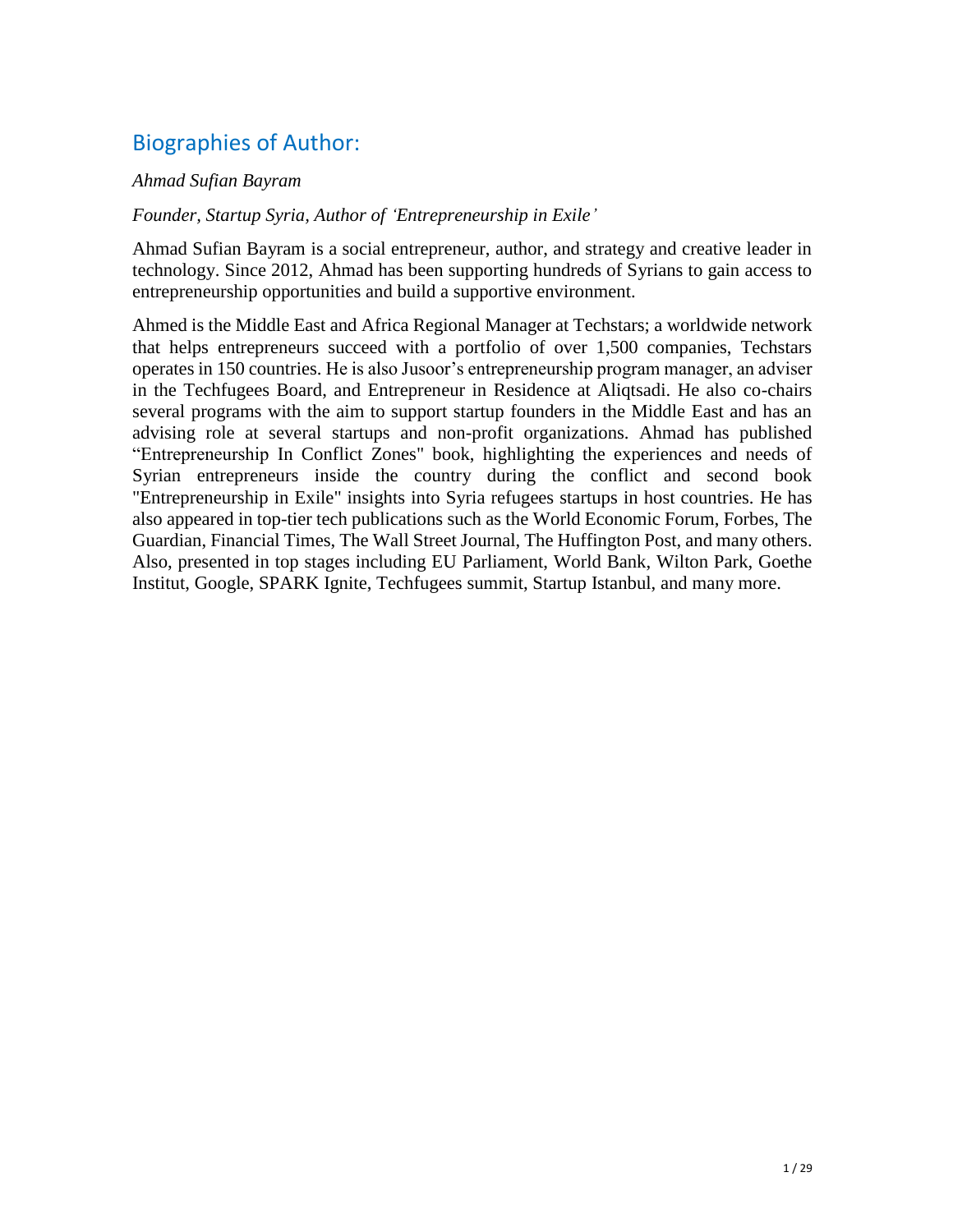# Biographies of Author:

#### *Ahmad Sufian Bayram*

#### *Founder, Startup Syria, Author of 'Entrepreneurship in Exile'*

Ahmad Sufian Bayram is a social entrepreneur, author, and strategy and creative leader in technology. Since 2012, Ahmad has been supporting hundreds of Syrians to gain access to entrepreneurship opportunities and build a supportive environment.

Ahmed is the Middle East and Africa Regional Manager at Techstars; a worldwide network that helps entrepreneurs succeed with a portfolio of over 1,500 companies, Techstars operates in 150 countries. He is also Jusoor's entrepreneurship program manager, an adviser in the Techfugees Board, and Entrepreneur in Residence at Aliqtsadi. He also co-chairs several programs with the aim to support startup founders in the Middle East and has an advising role at several startups and non-profit organizations. Ahmad has published "Entrepreneurship In Conflict Zones" book, highlighting the experiences and needs of Syrian entrepreneurs inside the country during the conflict and second book "Entrepreneurship in Exile" insights into Syria refugees startups in host countries. He has also appeared in top-tier tech publications such as the World Economic Forum, Forbes, The Guardian, Financial Times, The Wall Street Journal, The Huffington Post, and many others. Also, presented in top stages including EU Parliament, World Bank, Wilton Park, Goethe Institut, Google, SPARK Ignite, Techfugees summit, Startup Istanbul, and many more.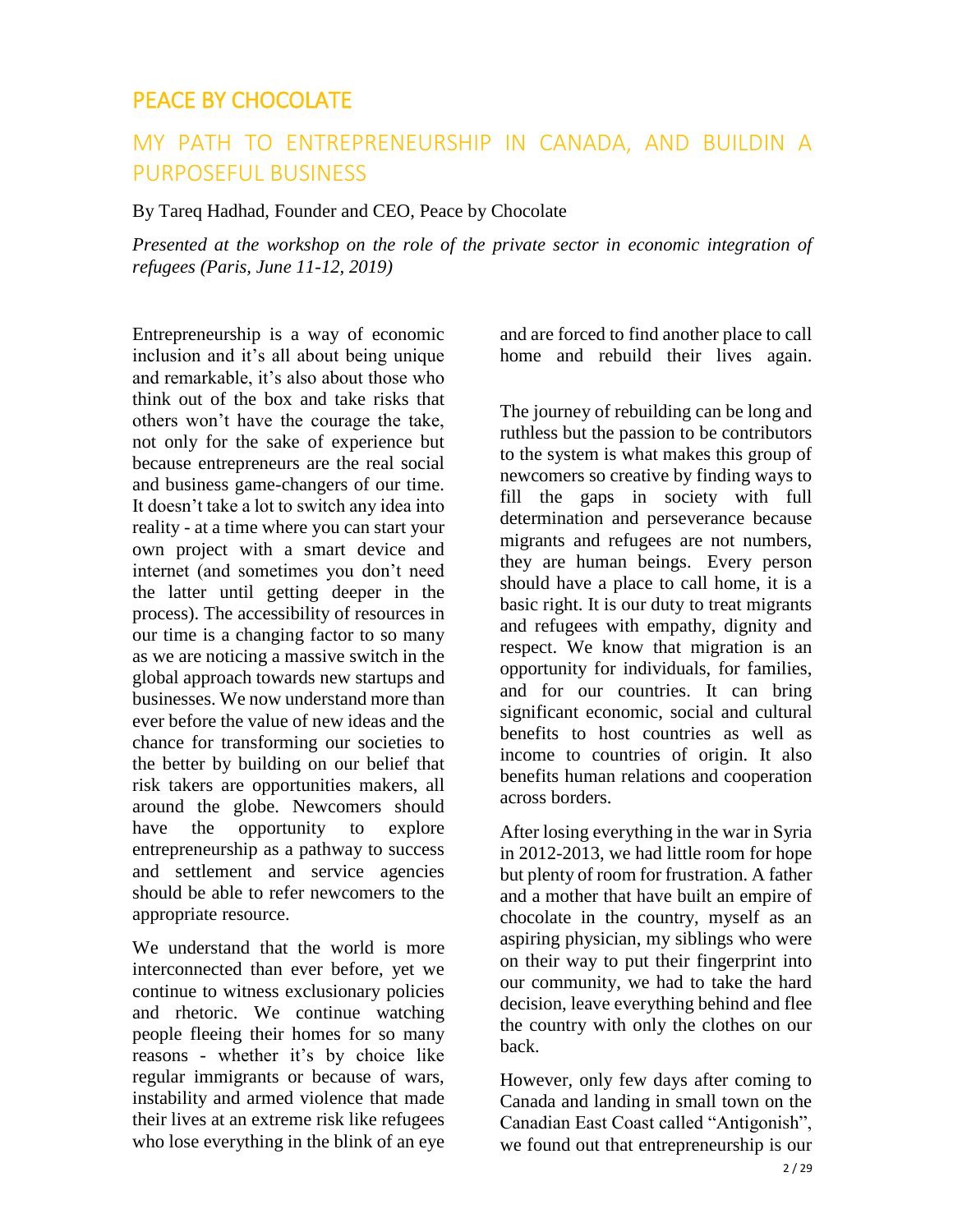### <span id="page-5-0"></span>PEACE BY CHOCOLATE

## MY PATH TO ENTREPRENEURSHIP IN CANADA, AND BUILDIN A PURPOSEFUL BUSINESS

By Tareq Hadhad, Founder and CEO, Peace by Chocolate

*Presented at the workshop on the role of the private sector in economic integration of refugees (Paris, June 11-12, 2019)* 

Entrepreneurship is a way of economic inclusion and it's all about being unique and remarkable, it's also about those who think out of the box and take risks that others won't have the courage the take, not only for the sake of experience but because entrepreneurs are the real social and business game-changers of our time. It doesn't take a lot to switch any idea into reality - at a time where you can start your own project with a smart device and internet (and sometimes you don't need the latter until getting deeper in the process). The accessibility of resources in our time is a changing factor to so many as we are noticing a massive switch in the global approach towards new startups and businesses. We now understand more than ever before the value of new ideas and the chance for transforming our societies to the better by building on our belief that risk takers are opportunities makers, all around the globe. Newcomers should have the opportunity to explore entrepreneurship as a pathway to success and settlement and service agencies should be able to refer newcomers to the appropriate resource.

We understand that the world is more interconnected than ever before, yet we continue to witness exclusionary policies and rhetoric. We continue watching people fleeing their homes for so many reasons - whether it's by choice like regular immigrants or because of wars, instability and armed violence that made their lives at an extreme risk like refugees who lose everything in the blink of an eye

and are forced to find another place to call home and rebuild their lives again.

The journey of rebuilding can be long and ruthless but the passion to be contributors to the system is what makes this group of newcomers so creative by finding ways to fill the gaps in society with full determination and perseverance because migrants and refugees are not numbers, they are human beings. Every person should have a place to call home, it is a basic right. It is our duty to treat migrants and refugees with empathy, dignity and respect. We know that migration is an opportunity for individuals, for families, and for our countries. It can bring significant economic, social and cultural benefits to host countries as well as income to countries of origin. It also benefits human relations and cooperation across borders.

After losing everything in the war in Syria in 2012-2013, we had little room for hope but plenty of room for frustration. A father and a mother that have built an empire of chocolate in the country, myself as an aspiring physician, my siblings who were on their way to put their fingerprint into our community, we had to take the hard decision, leave everything behind and flee the country with only the clothes on our back.

However, only few days after coming to Canada and landing in small town on the Canadian East Coast called "Antigonish", we found out that entrepreneurship is our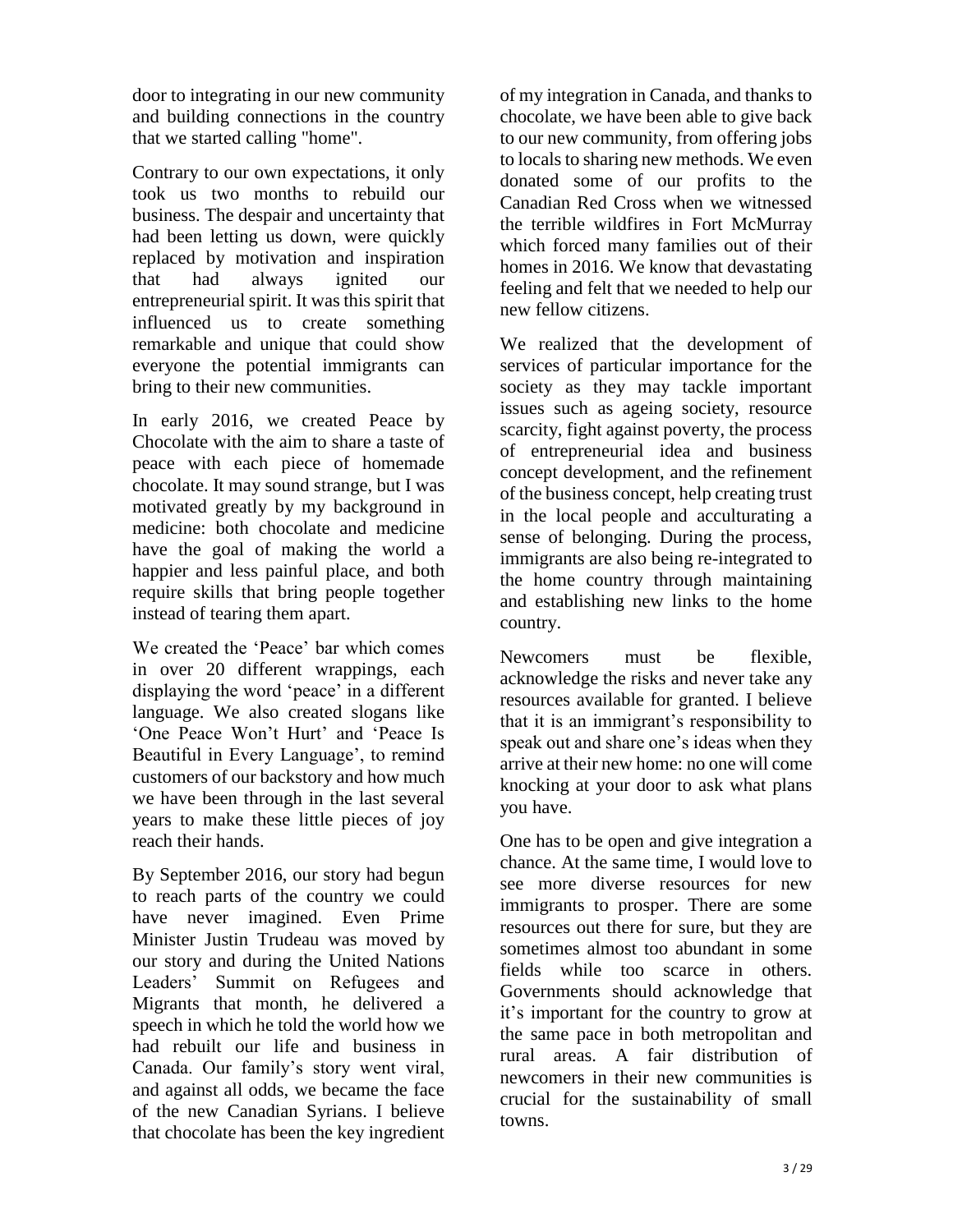door to integrating in our new community and building connections in the country that we started calling "home".

Contrary to our own expectations, it only took us two months to rebuild our business. The despair and uncertainty that had been letting us down, were quickly replaced by motivation and inspiration that had always ignited our entrepreneurial spirit. It was this spirit that influenced us to create something remarkable and unique that could show everyone the potential immigrants can bring to their new communities.

In early 2016, we created Peace by Chocolate with the aim to share a taste of peace with each piece of homemade chocolate. It may sound strange, but I was motivated greatly by my background in medicine: both chocolate and medicine have the goal of making the world a happier and less painful place, and both require skills that bring people together instead of tearing them apart.

We created the 'Peace' bar which comes in over 20 different wrappings, each displaying the word 'peace' in a different language. We also created slogans like 'One Peace Won't Hurt' and 'Peace Is Beautiful in Every Language', to remind customers of our backstory and how much we have been through in the last several years to make these little pieces of joy reach their hands.

By September 2016, our story had begun to reach parts of the country we could have never imagined. Even Prime Minister Justin Trudeau was moved by our story and during the United Nations Leaders' Summit on Refugees and Migrants that month, he delivered a speech in which he told the world how we had rebuilt our life and business in Canada. Our family's story went viral, and against all odds, we became the face of the new Canadian Syrians. I believe that chocolate has been the key ingredient

of my integration in Canada, and thanks to chocolate, we have been able to give back to our new community, from offering jobs to locals to sharing new methods. We even donated some of our profits to the Canadian Red Cross when we witnessed the terrible wildfires in Fort McMurray which forced many families out of their homes in 2016. We know that devastating feeling and felt that we needed to help our new fellow citizens.

We realized that the development of services of particular importance for the society as they may tackle important issues such as ageing society, resource scarcity, fight against poverty, the process of entrepreneurial idea and business concept development, and the refinement of the business concept, help creating trust in the local people and acculturating a sense of belonging. During the process, immigrants are also being re-integrated to the home country through maintaining and establishing new links to the home country.

Newcomers must be flexible, acknowledge the risks and never take any resources available for granted. I believe that it is an immigrant's responsibility to speak out and share one's ideas when they arrive at their new home: no one will come knocking at your door to ask what plans you have.

One has to be open and give integration a chance. At the same time, I would love to see more diverse resources for new immigrants to prosper. There are some resources out there for sure, but they are sometimes almost too abundant in some fields while too scarce in others. Governments should acknowledge that it's important for the country to grow at the same pace in both metropolitan and rural areas. A fair distribution of newcomers in their new communities is crucial for the sustainability of small towns.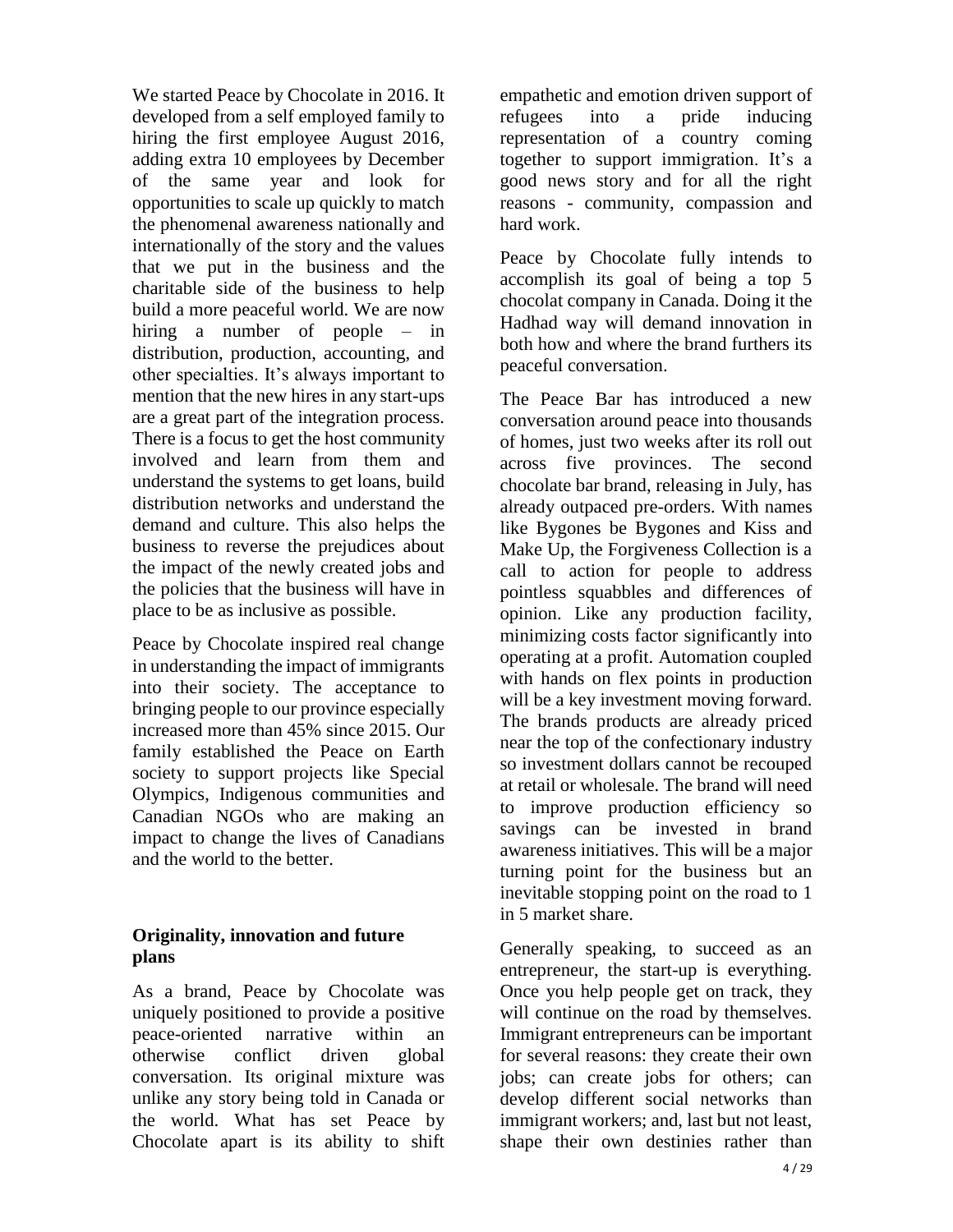We started Peace by Chocolate in 2016. It developed from a self employed family to hiring the first employee August 2016, adding extra 10 employees by December of the same year and look for opportunities to scale up quickly to match the phenomenal awareness nationally and internationally of the story and the values that we put in the business and the charitable side of the business to help build a more peaceful world. We are now hiring a number of people – in distribution, production, accounting, and other specialties. It's always important to mention that the new hires in any start-ups are a great part of the integration process. There is a focus to get the host community involved and learn from them and understand the systems to get loans, build distribution networks and understand the demand and culture. This also helps the business to reverse the prejudices about the impact of the newly created jobs and the policies that the business will have in place to be as inclusive as possible.

Peace by Chocolate inspired real change in understanding the impact of immigrants into their society. The acceptance to bringing people to our province especially increased more than 45% since 2015. Our family established the Peace on Earth society to support projects like Special Olympics, Indigenous communities and Canadian NGOs who are making an impact to change the lives of Canadians and the world to the better.

#### **Originality, innovation and future plans**

As a brand, Peace by Chocolate was uniquely positioned to provide a positive peace-oriented narrative within an otherwise conflict driven global conversation. Its original mixture was unlike any story being told in Canada or the world. What has set Peace by Chocolate apart is its ability to shift empathetic and emotion driven support of refugees into a pride inducing representation of a country coming together to support immigration. It's a good news story and for all the right reasons - community, compassion and hard work.

Peace by Chocolate fully intends to accomplish its goal of being a top 5 chocolat company in Canada. Doing it the Hadhad way will demand innovation in both how and where the brand furthers its peaceful conversation.

The Peace Bar has introduced a new conversation around peace into thousands of homes, just two weeks after its roll out across five provinces. The second chocolate bar brand, releasing in July, has already outpaced pre-orders. With names like Bygones be Bygones and Kiss and Make Up, the Forgiveness Collection is a call to action for people to address pointless squabbles and differences of opinion. Like any production facility, minimizing costs factor significantly into operating at a profit. Automation coupled with hands on flex points in production will be a key investment moving forward. The brands products are already priced near the top of the confectionary industry so investment dollars cannot be recouped at retail or wholesale. The brand will need to improve production efficiency so savings can be invested in brand awareness initiatives. This will be a major turning point for the business but an inevitable stopping point on the road to 1 in 5 market share.

Generally speaking, to succeed as an entrepreneur, the start-up is everything. Once you help people get on track, they will continue on the road by themselves. Immigrant entrepreneurs can be important for several reasons: they create their own jobs; can create jobs for others; can develop different social networks than immigrant workers; and, last but not least, shape their own destinies rather than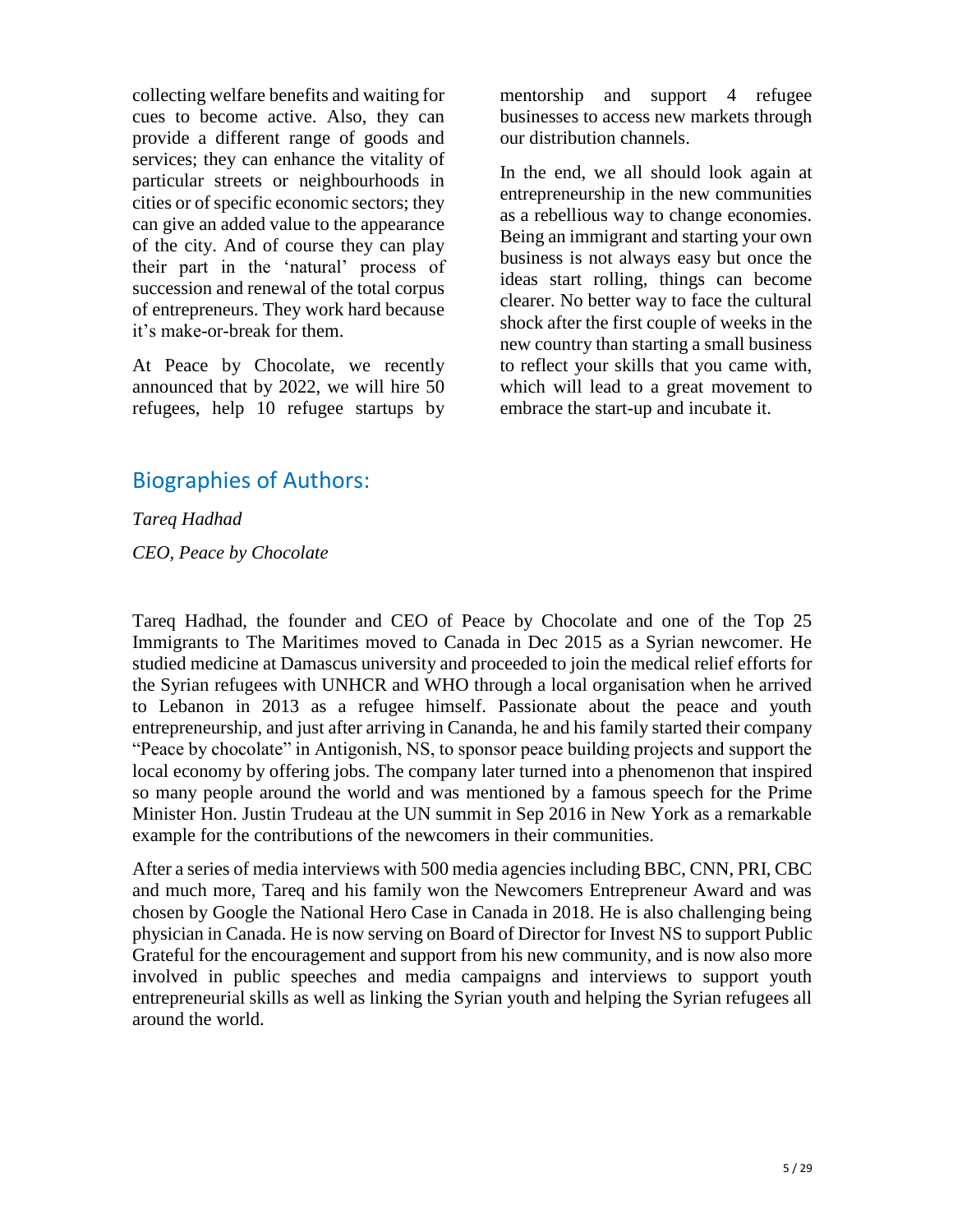collecting welfare benefits and waiting for cues to become active. Also, they can provide a different range of goods and services; they can enhance the vitality of particular streets or neighbourhoods in cities or of specific economic sectors; they can give an added value to the appearance of the city. And of course they can play their part in the 'natural' process of succession and renewal of the total corpus of entrepreneurs. They work hard because it's make-or-break for them.

At Peace by Chocolate, we recently announced that by 2022, we will hire 50 refugees, help 10 refugee startups by mentorship and support 4 refugee businesses to access new markets through our distribution channels.

In the end, we all should look again at entrepreneurship in the new communities as a rebellious way to change economies. Being an immigrant and starting your own business is not always easy but once the ideas start rolling, things can become clearer. No better way to face the cultural shock after the first couple of weeks in the new country than starting a small business to reflect your skills that you came with, which will lead to a great movement to embrace the start-up and incubate it.

### Biographies of Authors:

*Tareq Hadhad CEO, Peace by Chocolate*

Tareq Hadhad, the founder and CEO of Peace by Chocolate and one of the Top 25 Immigrants to The Maritimes moved to Canada in Dec 2015 as a Syrian newcomer. He studied medicine at Damascus university and proceeded to join the medical relief efforts for the Syrian refugees with UNHCR and WHO through a local organisation when he arrived to Lebanon in 2013 as a refugee himself. Passionate about the peace and youth entrepreneurship, and just after arriving in Cananda, he and his family started their company "Peace by chocolate" in Antigonish, NS, to sponsor peace building projects and support the local economy by offering jobs. The company later turned into a phenomenon that inspired so many people around the world and was mentioned by a famous speech for the Prime Minister Hon. Justin Trudeau at the UN summit in Sep 2016 in New York as a remarkable example for the contributions of the newcomers in their communities.

After a series of media interviews with 500 media agencies including BBC, CNN, PRI, CBC and much more, Tareq and his family won the Newcomers Entrepreneur Award and was chosen by Google the National Hero Case in Canada in 2018. He is also challenging being physician in Canada. He is now serving on Board of Director for Invest NS to support Public Grateful for the encouragement and support from his new community, and is now also more involved in public speeches and media campaigns and interviews to support youth entrepreneurial skills as well as linking the Syrian youth and helping the Syrian refugees all around the world.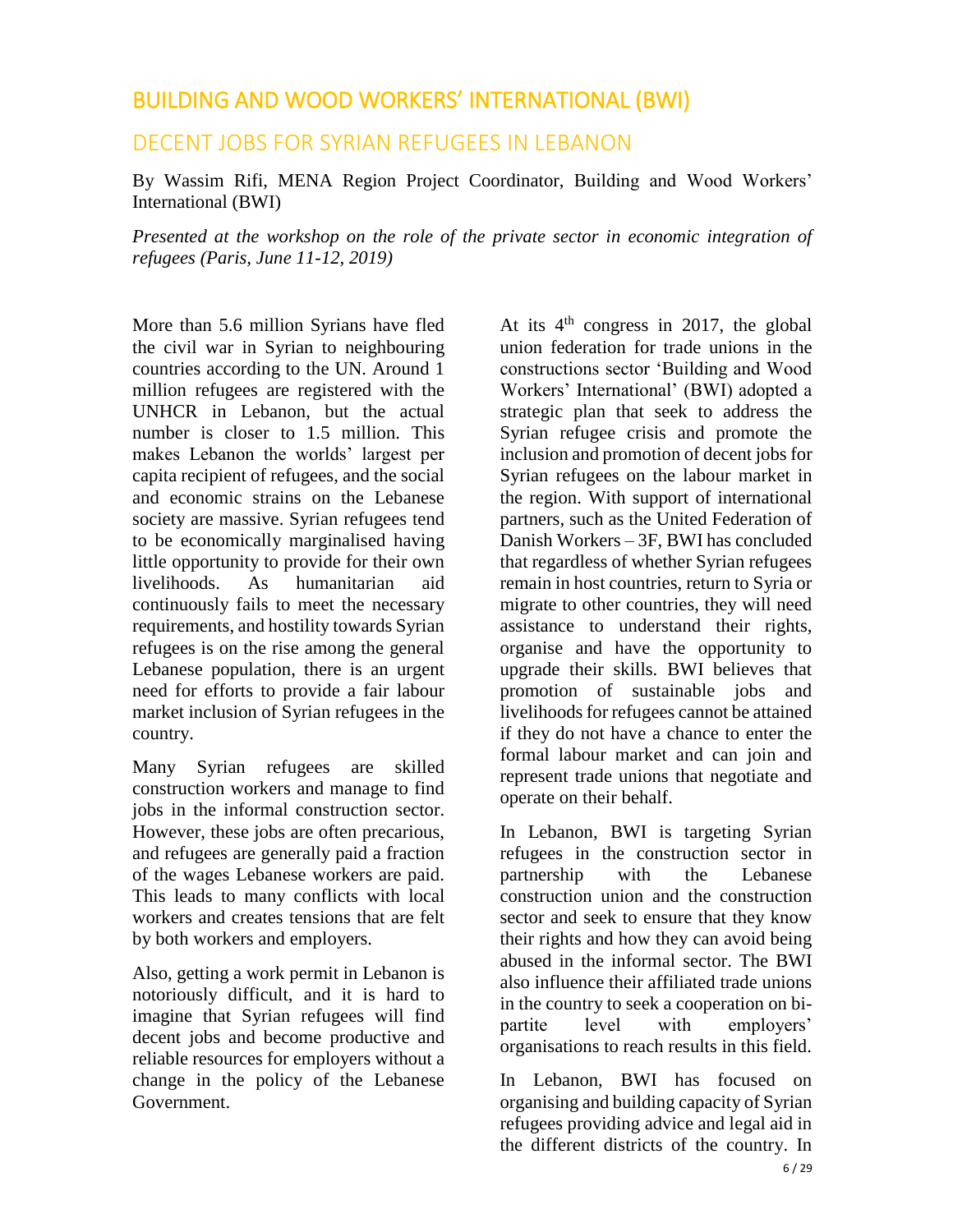### <span id="page-9-0"></span>BUILDING AND WOOD WORKERS' INTERNATIONAL (BWI)

### DECENT JOBS FOR SYRIAN REFUGEES IN LEBANON

By Wassim Rifi, MENA Region Project Coordinator, Building and Wood Workers' International (BWI)

*Presented at the workshop on the role of the private sector in economic integration of refugees (Paris, June 11-12, 2019)* 

More than 5.6 million Syrians have fled the civil war in Syrian to neighbouring countries according to the UN. Around 1 million refugees are registered with the UNHCR in Lebanon, but the actual number is closer to 1.5 million. This makes Lebanon the worlds' largest per capita recipient of refugees, and the social and economic strains on the Lebanese society are massive. Syrian refugees tend to be economically marginalised having little opportunity to provide for their own livelihoods. As humanitarian aid continuously fails to meet the necessary requirements, and hostility towards Syrian refugees is on the rise among the general Lebanese population, there is an urgent need for efforts to provide a fair labour market inclusion of Syrian refugees in the country.

Many Syrian refugees are skilled construction workers and manage to find jobs in the informal construction sector. However, these jobs are often precarious, and refugees are generally paid a fraction of the wages Lebanese workers are paid. This leads to many conflicts with local workers and creates tensions that are felt by both workers and employers.

Also, getting a work permit in Lebanon is notoriously difficult, and it is hard to imagine that Syrian refugees will find decent jobs and become productive and reliable resources for employers without a change in the policy of the Lebanese Government.

At its  $4<sup>th</sup>$  congress in 2017, the global union federation for trade unions in the constructions sector 'Building and Wood Workers' International' (BWI) adopted a strategic plan that seek to address the Syrian refugee crisis and promote the inclusion and promotion of decent jobs for Syrian refugees on the labour market in the region. With support of international partners, such as the United Federation of Danish Workers – 3F, BWI has concluded that regardless of whether Syrian refugees remain in host countries, return to Syria or migrate to other countries, they will need assistance to understand their rights, organise and have the opportunity to upgrade their skills. BWI believes that promotion of sustainable jobs and livelihoods for refugees cannot be attained if they do not have a chance to enter the formal labour market and can join and represent trade unions that negotiate and operate on their behalf.

In Lebanon, BWI is targeting Syrian refugees in the construction sector in partnership with the Lebanese construction union and the construction sector and seek to ensure that they know their rights and how they can avoid being abused in the informal sector. The BWI also influence their affiliated trade unions in the country to seek a cooperation on bipartite level with employers' organisations to reach results in this field.

In Lebanon, BWI has focused on organising and building capacity of Syrian refugees providing advice and legal aid in the different districts of the country. In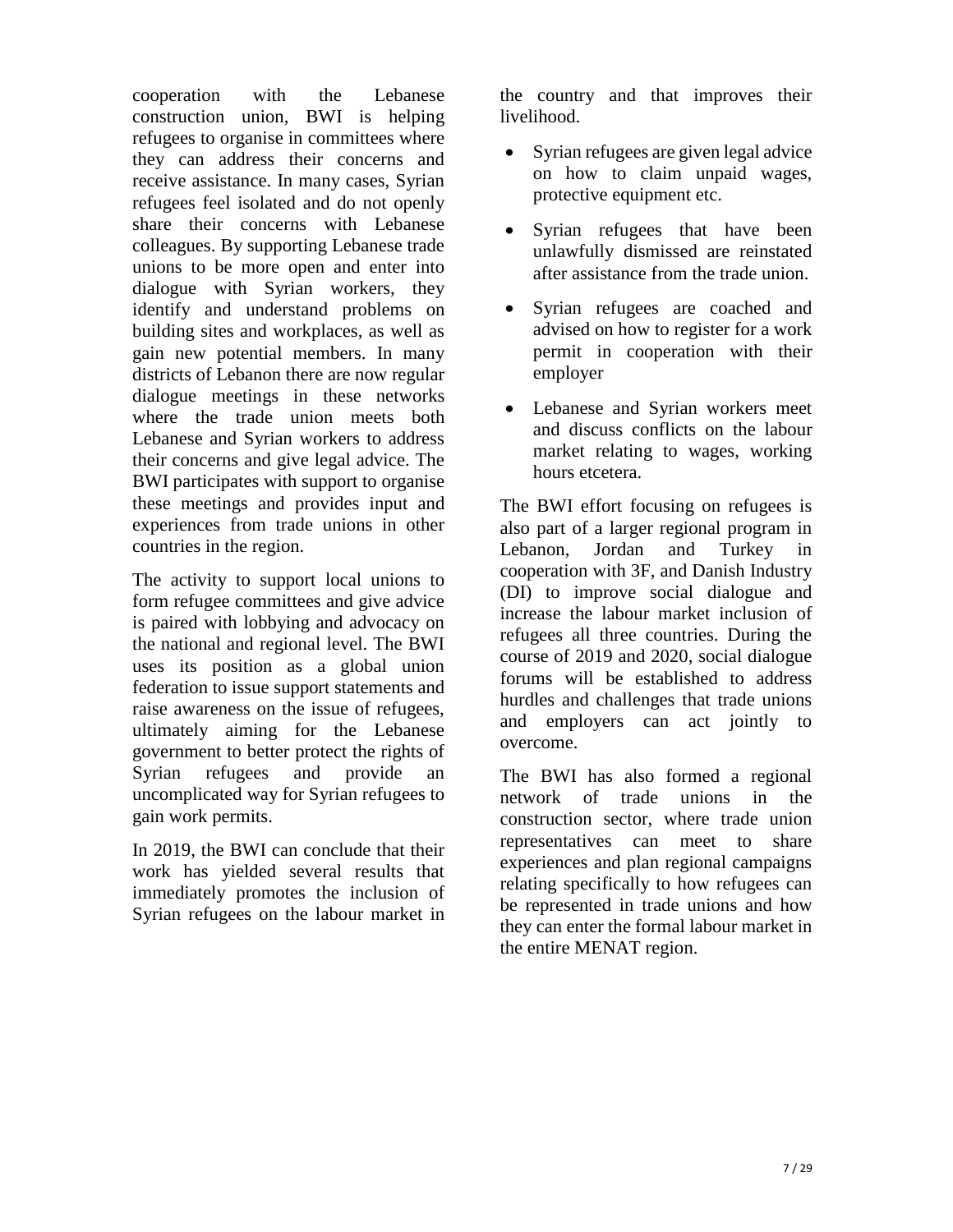cooperation with the Lebanese construction union, BWI is helping refugees to organise in committees where they can address their concerns and receive assistance. In many cases, Syrian refugees feel isolated and do not openly share their concerns with Lebanese colleagues. By supporting Lebanese trade unions to be more open and enter into dialogue with Syrian workers, they identify and understand problems on building sites and workplaces, as well as gain new potential members. In many districts of Lebanon there are now regular dialogue meetings in these networks where the trade union meets both Lebanese and Syrian workers to address their concerns and give legal advice. The BWI participates with support to organise these meetings and provides input and experiences from trade unions in other countries in the region.

The activity to support local unions to form refugee committees and give advice is paired with lobbying and advocacy on the national and regional level. The BWI uses its position as a global union federation to issue support statements and raise awareness on the issue of refugees, ultimately aiming for the Lebanese government to better protect the rights of Syrian refugees and provide an uncomplicated way for Syrian refugees to gain work permits.

In 2019, the BWI can conclude that their work has yielded several results that immediately promotes the inclusion of Syrian refugees on the labour market in the country and that improves their livelihood.

- Syrian refugees are given legal advice on how to claim unpaid wages, protective equipment etc.
- Syrian refugees that have been unlawfully dismissed are reinstated after assistance from the trade union.
- Syrian refugees are coached and advised on how to register for a work permit in cooperation with their employer
- Lebanese and Syrian workers meet and discuss conflicts on the labour market relating to wages, working hours etcetera.

The BWI effort focusing on refugees is also part of a larger regional program in Lebanon, Jordan and Turkey in cooperation with 3F, and Danish Industry (DI) to improve social dialogue and increase the labour market inclusion of refugees all three countries. During the course of 2019 and 2020, social dialogue forums will be established to address hurdles and challenges that trade unions and employers can act jointly to overcome.

The BWI has also formed a regional network of trade unions in the construction sector, where trade union representatives can meet to share experiences and plan regional campaigns relating specifically to how refugees can be represented in trade unions and how they can enter the formal labour market in the entire MENAT region.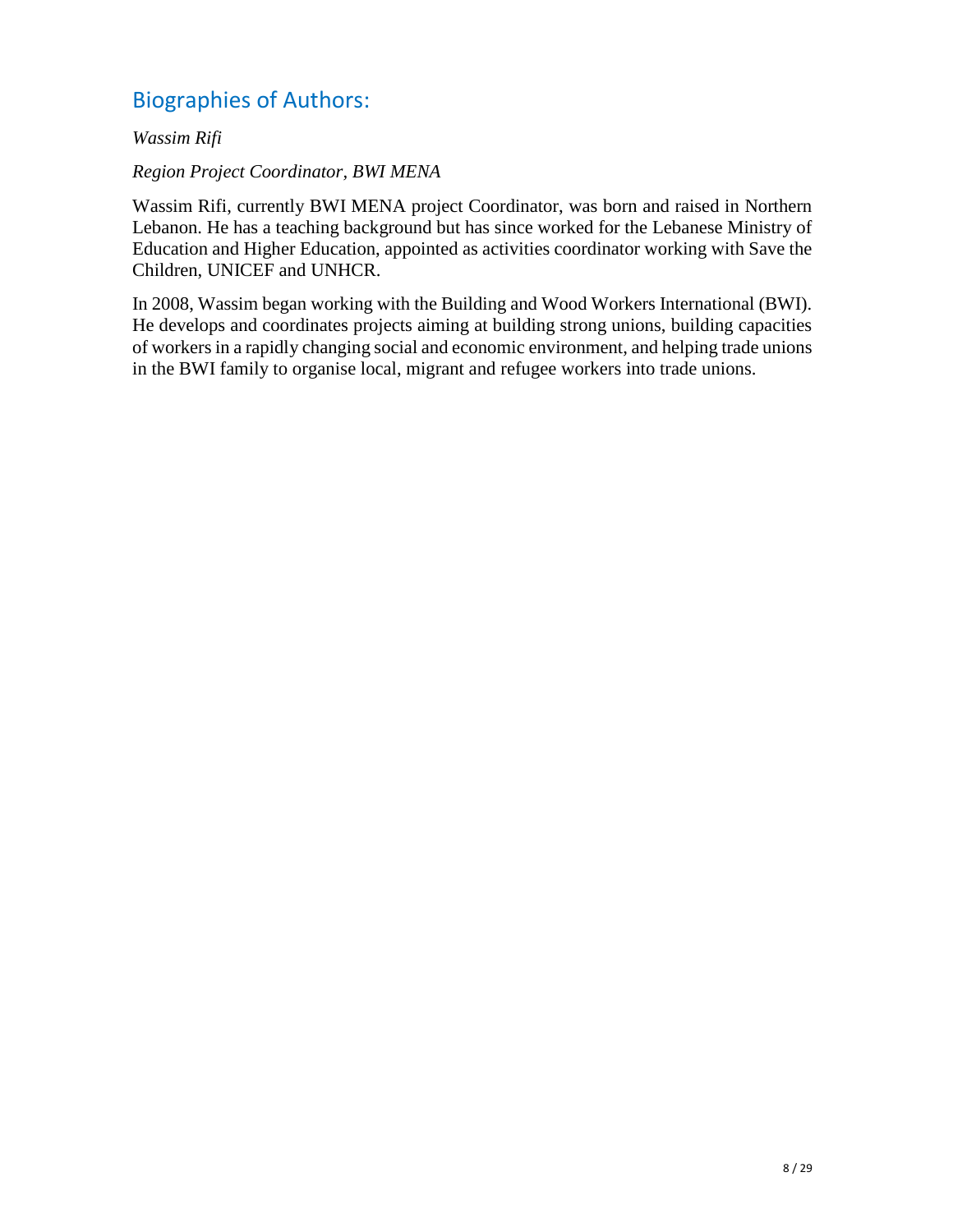## Biographies of Authors:

*Wassim Rifi*

#### *Region Project Coordinator, BWI MENA*

Wassim Rifi, currently BWI MENA project Coordinator, was born and raised in Northern Lebanon. He has a teaching background but has since worked for the Lebanese Ministry of Education and Higher Education, appointed as activities coordinator working with Save the Children, UNICEF and UNHCR.

In 2008, Wassim began working with the Building and Wood Workers International (BWI). He develops and coordinates projects aiming at building strong unions, building capacities of workers in a rapidly changing social and economic environment, and helping trade unions in the BWI family to organise local, migrant and refugee workers into trade unions.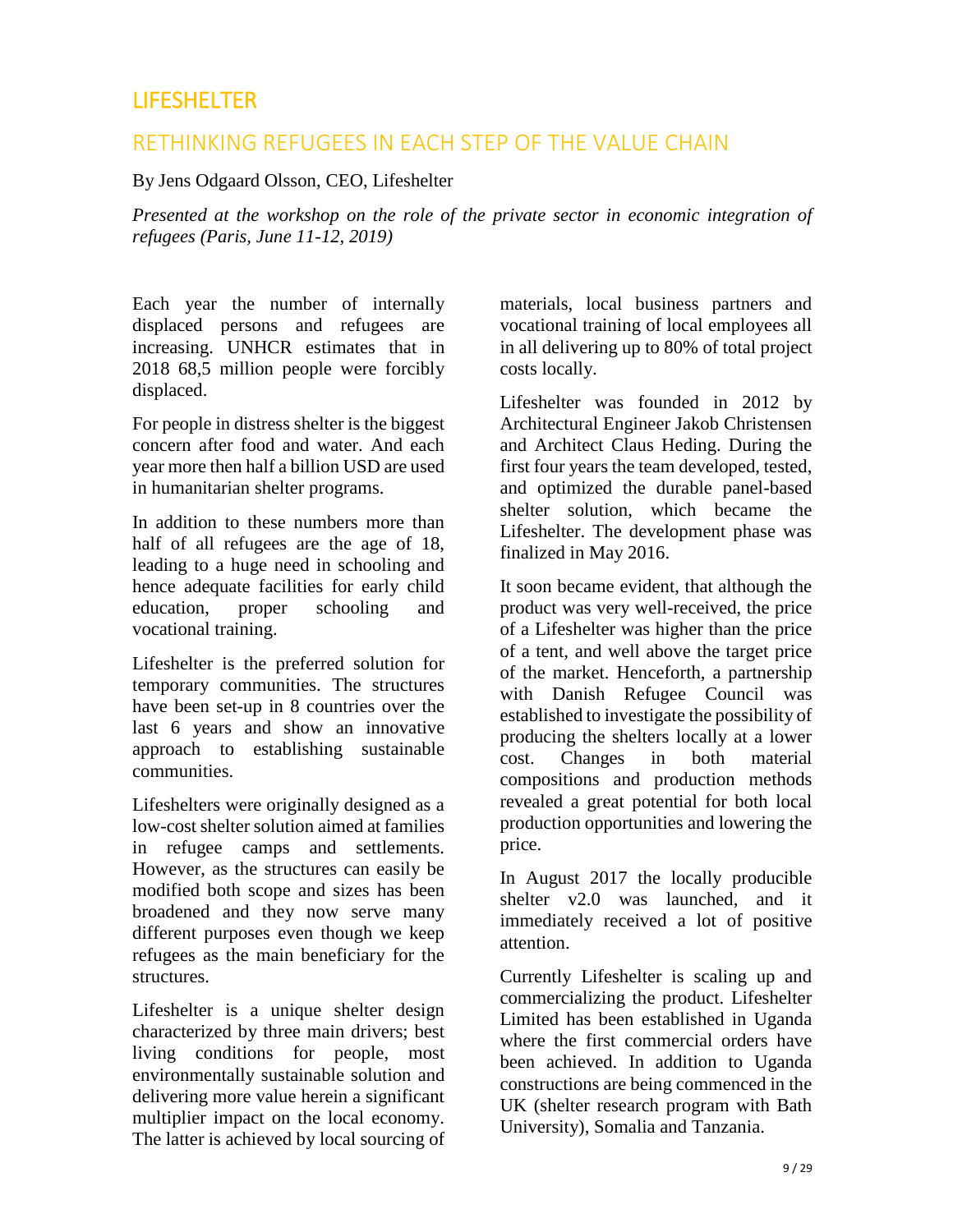### <span id="page-12-0"></span>**LIFESHELTER**

### RETHINKING REFUGEES IN EACH STEP OF THE VALUE CHAIN

By Jens Odgaard Olsson, CEO, Lifeshelter

*Presented at the workshop on the role of the private sector in economic integration of refugees (Paris, June 11-12, 2019)* 

Each year the number of internally displaced persons and refugees are increasing. UNHCR estimates that in 2018 68,5 million people were forcibly displaced.

For people in distress shelter is the biggest concern after food and water. And each year more then half a billion USD are used in humanitarian shelter programs.

In addition to these numbers more than half of all refugees are the age of 18, leading to a huge need in schooling and hence adequate facilities for early child education, proper schooling and vocational training.

Lifeshelter is the preferred solution for temporary communities. The structures have been set-up in 8 countries over the last 6 years and show an innovative approach to establishing sustainable communities.

Lifeshelters were originally designed as a low-cost shelter solution aimed at families in refugee camps and settlements. However, as the structures can easily be modified both scope and sizes has been broadened and they now serve many different purposes even though we keep refugees as the main beneficiary for the structures.

Lifeshelter is a unique shelter design characterized by three main drivers; best living conditions for people, most environmentally sustainable solution and delivering more value herein a significant multiplier impact on the local economy. The latter is achieved by local sourcing of

materials, local business partners and vocational training of local employees all in all delivering up to 80% of total project costs locally.

Lifeshelter was founded in 2012 by Architectural Engineer Jakob Christensen and Architect Claus Heding. During the first four years the team developed, tested, and optimized the durable panel-based shelter solution, which became the Lifeshelter. The development phase was finalized in May 2016.

It soon became evident, that although the product was very well-received, the price of a Lifeshelter was higher than the price of a tent, and well above the target price of the market. Henceforth, a partnership with Danish Refugee Council was established to investigate the possibility of producing the shelters locally at a lower cost. Changes in both material compositions and production methods revealed a great potential for both local production opportunities and lowering the price.

In August 2017 the locally producible shelter v2.0 was launched, and it immediately received a lot of positive attention.

Currently Lifeshelter is scaling up and commercializing the product. Lifeshelter Limited has been established in Uganda where the first commercial orders have been achieved. In addition to Uganda constructions are being commenced in the UK (shelter research program with Bath University), Somalia and Tanzania.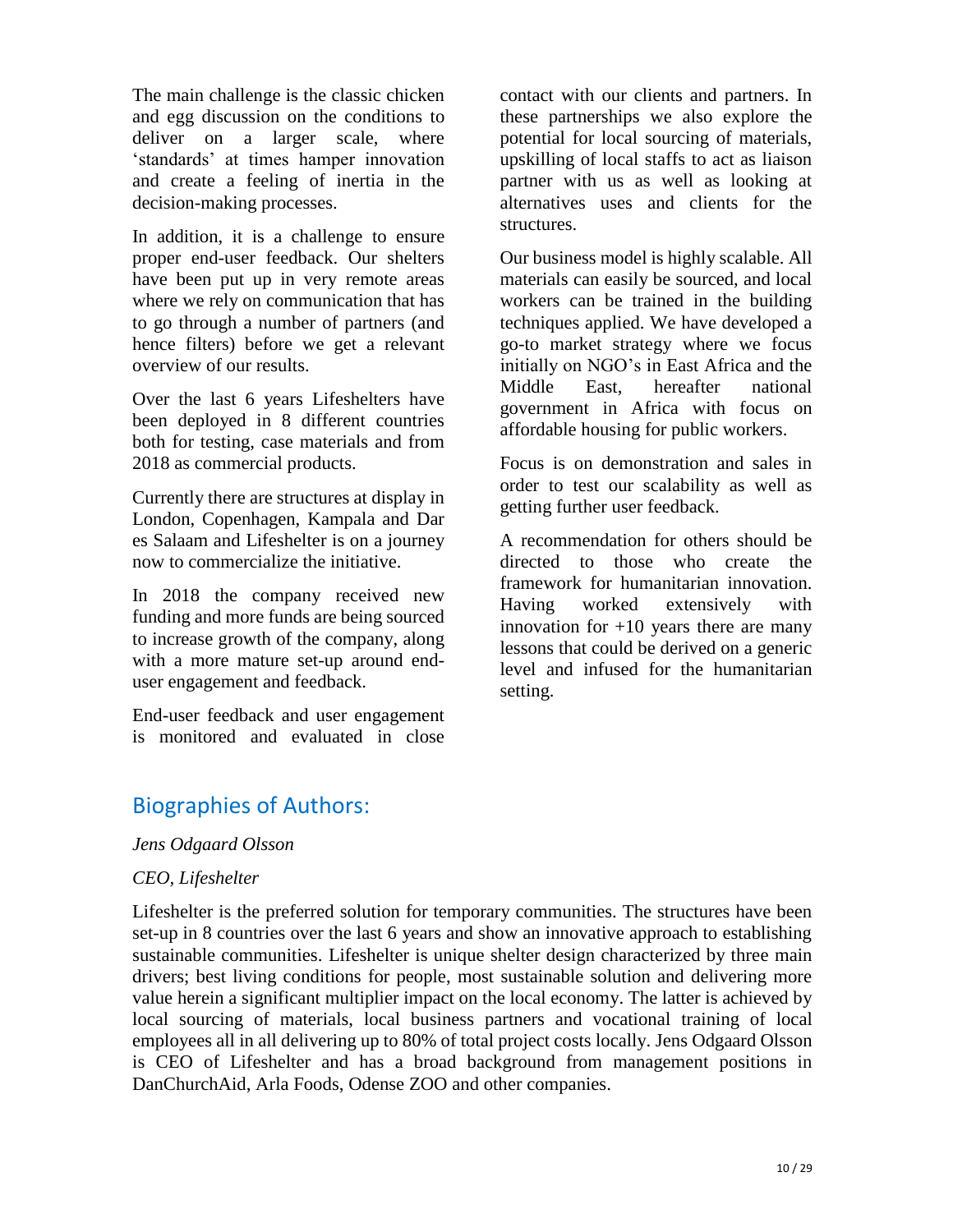The main challenge is the classic chicken and egg discussion on the conditions to deliver on a larger scale, where 'standards' at times hamper innovation and create a feeling of inertia in the decision-making processes.

In addition, it is a challenge to ensure proper end-user feedback. Our shelters have been put up in very remote areas where we rely on communication that has to go through a number of partners (and hence filters) before we get a relevant overview of our results.

Over the last 6 years Lifeshelters have been deployed in 8 different countries both for testing, case materials and from 2018 as commercial products.

Currently there are structures at display in London, Copenhagen, Kampala and Dar es Salaam and Lifeshelter is on a journey now to commercialize the initiative.

In 2018 the company received new funding and more funds are being sourced to increase growth of the company, along with a more mature set-up around enduser engagement and feedback.

End-user feedback and user engagement is monitored and evaluated in close contact with our clients and partners. In these partnerships we also explore the potential for local sourcing of materials, upskilling of local staffs to act as liaison partner with us as well as looking at alternatives uses and clients for the structures.

Our business model is highly scalable. All materials can easily be sourced, and local workers can be trained in the building techniques applied. We have developed a go-to market strategy where we focus initially on NGO's in East Africa and the Middle East, hereafter national government in Africa with focus on affordable housing for public workers.

Focus is on demonstration and sales in order to test our scalability as well as getting further user feedback.

A recommendation for others should be directed to those who create the framework for humanitarian innovation. Having worked extensively with innovation for  $+10$  years there are many lessons that could be derived on a generic level and infused for the humanitarian setting.

### Biographies of Authors:

#### *Jens Odgaard Olsson*

#### *CEO, Lifeshelter*

Lifeshelter is the preferred solution for temporary communities. The structures have been set-up in 8 countries over the last 6 years and show an innovative approach to establishing sustainable communities. Lifeshelter is unique shelter design characterized by three main drivers; best living conditions for people, most sustainable solution and delivering more value herein a significant multiplier impact on the local economy. The latter is achieved by local sourcing of materials, local business partners and vocational training of local employees all in all delivering up to 80% of total project costs locally. Jens Odgaard Olsson is CEO of Lifeshelter and has a broad background from management positions in DanChurchAid, Arla Foods, Odense ZOO and other companies.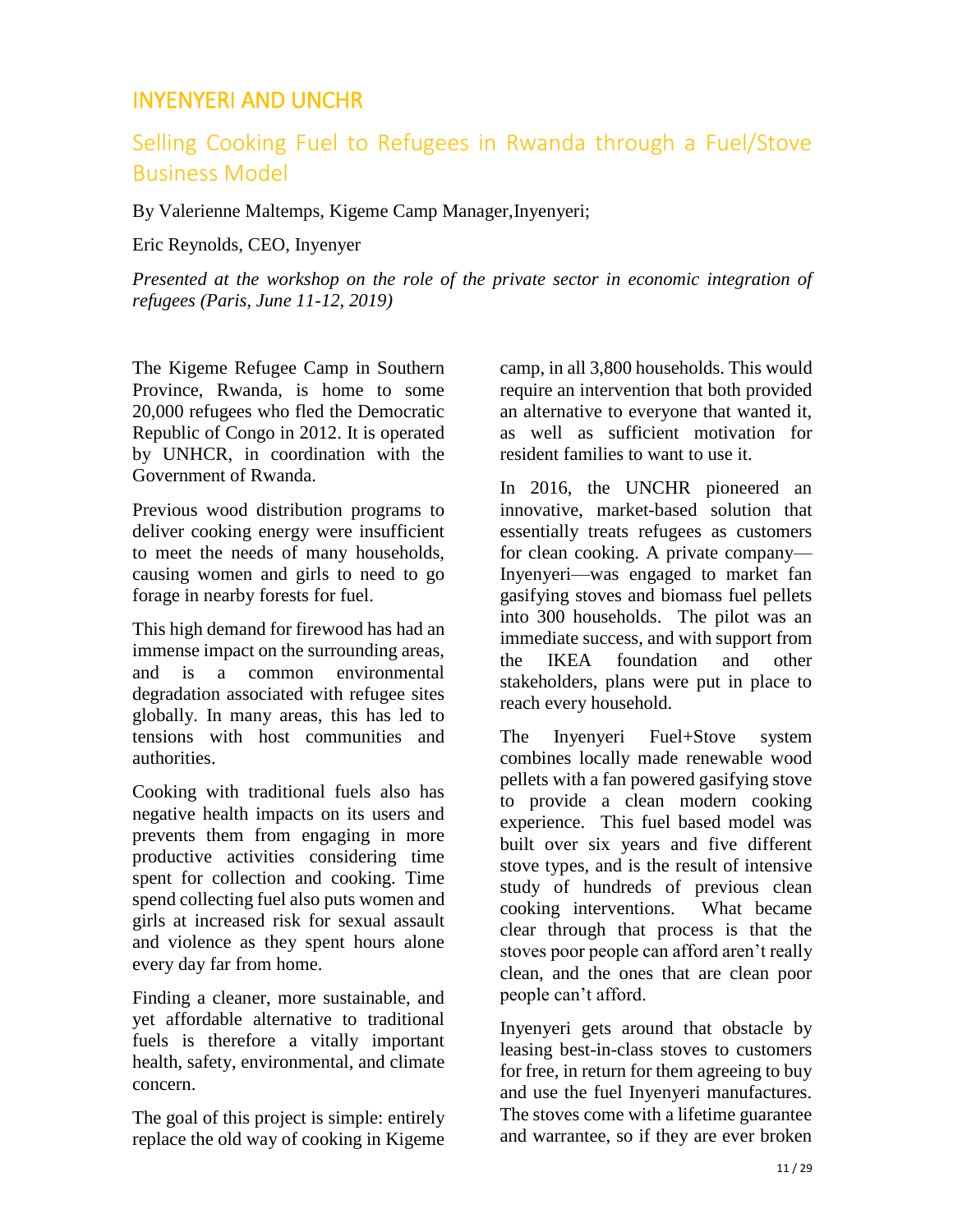### <span id="page-14-0"></span>INYENYERI AND UNCHR

## Selling Cooking Fuel to Refugees in Rwanda through a Fuel/Stove Business Model

By Valerienne Maltemps, Kigeme Camp Manager,Inyenyeri;

Eric Reynolds, CEO, Inyenyer

*Presented at the workshop on the role of the private sector in economic integration of refugees (Paris, June 11-12, 2019)* 

The Kigeme Refugee Camp in Southern Province, Rwanda, is home to some 20,000 refugees who fled the Democratic Republic of Congo in 2012. It is operated by UNHCR, in coordination with the Government of Rwanda.

Previous wood distribution programs to deliver cooking energy were insufficient to meet the needs of many households, causing women and girls to need to go forage in nearby forests for fuel.

This high demand for firewood has had an immense impact on the surrounding areas, and is a common environmental degradation associated with refugee sites globally. In many areas, this has led to tensions with host communities and authorities.

Cooking with traditional fuels also has negative health impacts on its users and prevents them from engaging in more productive activities considering time spent for collection and cooking. Time spend collecting fuel also puts women and girls at increased risk for sexual assault and violence as they spent hours alone every day far from home.

Finding a cleaner, more sustainable, and yet affordable alternative to traditional fuels is therefore a vitally important health, safety, environmental, and climate concern.

The goal of this project is simple: entirely replace the old way of cooking in Kigeme

camp, in all 3,800 households. This would require an intervention that both provided an alternative to everyone that wanted it, as well as sufficient motivation for resident families to want to use it.

In 2016, the UNCHR pioneered an innovative, market-based solution that essentially treats refugees as customers for clean cooking. A private company— Inyenyeri—was engaged to market fan gasifying stoves and biomass fuel pellets into 300 households. The pilot was an immediate success, and with support from the IKEA foundation and other stakeholders, plans were put in place to reach every household.

The Inyenyeri Fuel+Stove system combines locally made renewable wood pellets with a fan powered gasifying stove to provide a clean modern cooking experience. This fuel based model was built over six years and five different stove types, and is the result of intensive study of hundreds of previous clean cooking interventions. What became clear through that process is that the stoves poor people can afford aren't really clean, and the ones that are clean poor people can't afford.

Inyenyeri gets around that obstacle by leasing best-in-class stoves to customers for free, in return for them agreeing to buy and use the fuel Inyenyeri manufactures. The stoves come with a lifetime guarantee and warrantee, so if they are ever broken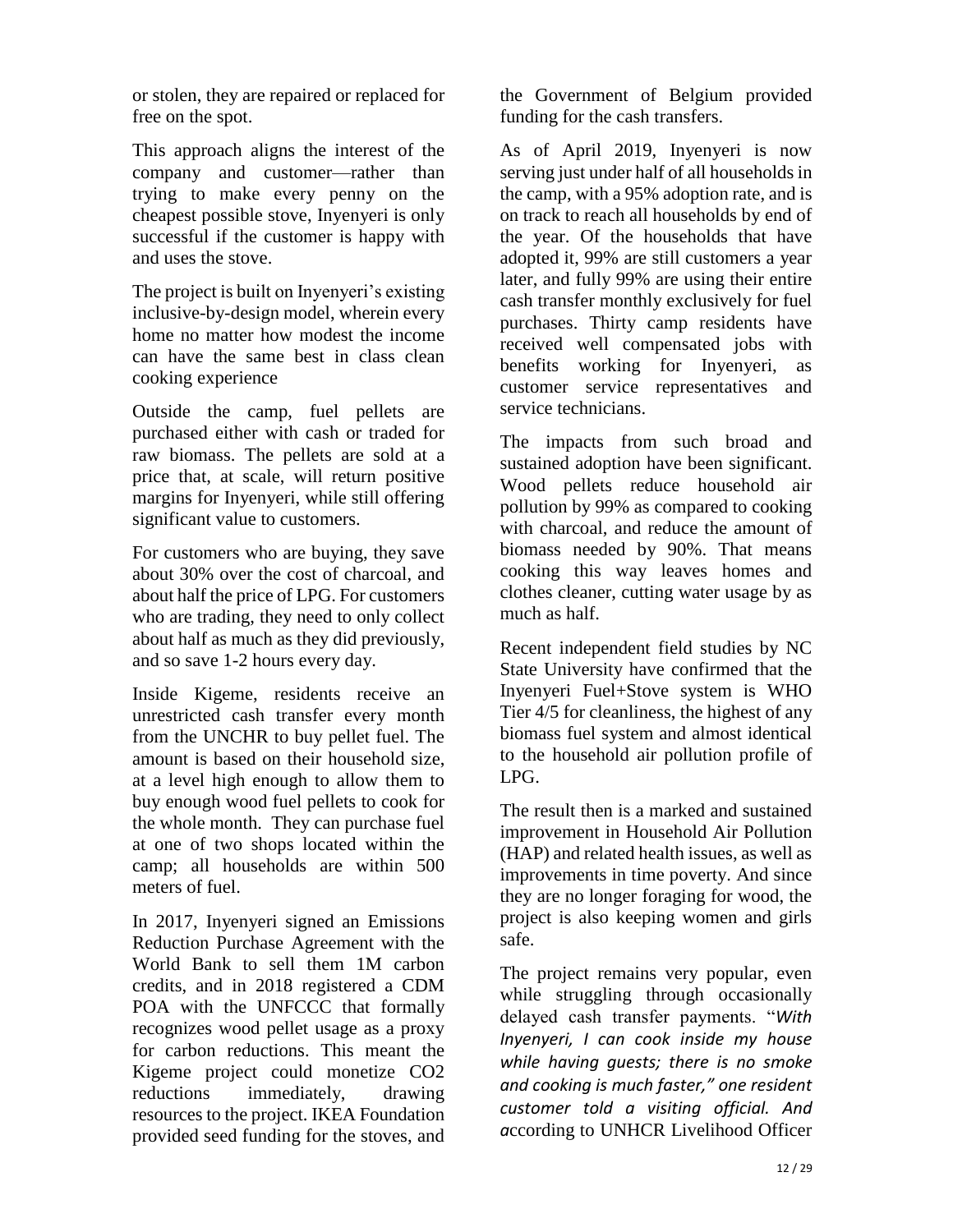or stolen, they are repaired or replaced for free on the spot.

This approach aligns the interest of the company and customer—rather than trying to make every penny on the cheapest possible stove, Inyenyeri is only successful if the customer is happy with and uses the stove.

The project is built on Inyenyeri's existing inclusive-by-design model, wherein every home no matter how modest the income can have the same best in class clean cooking experience

Outside the camp, fuel pellets are purchased either with cash or traded for raw biomass. The pellets are sold at a price that, at scale, will return positive margins for Inyenyeri, while still offering significant value to customers.

For customers who are buying, they save about 30% over the cost of charcoal, and about half the price of LPG. For customers who are trading, they need to only collect about half as much as they did previously, and so save 1-2 hours every day.

Inside Kigeme, residents receive an unrestricted cash transfer every month from the UNCHR to buy pellet fuel. The amount is based on their household size, at a level high enough to allow them to buy enough wood fuel pellets to cook for the whole month. They can purchase fuel at one of two shops located within the camp; all households are within 500 meters of fuel.

In 2017, Inyenyeri signed an Emissions Reduction Purchase Agreement with the World Bank to sell them 1M carbon credits, and in 2018 registered a CDM POA with the UNFCCC that formally recognizes wood pellet usage as a proxy for carbon reductions. This meant the Kigeme project could monetize CO2 reductions immediately, drawing resources to the project. IKEA Foundation provided seed funding for the stoves, and the Government of Belgium provided funding for the cash transfers.

As of April 2019, Inyenyeri is now serving just under half of all households in the camp, with a 95% adoption rate, and is on track to reach all households by end of the year. Of the households that have adopted it, 99% are still customers a year later, and fully 99% are using their entire cash transfer monthly exclusively for fuel purchases. Thirty camp residents have received well compensated jobs with benefits working for Inyenyeri, as customer service representatives and service technicians.

The impacts from such broad and sustained adoption have been significant. Wood pellets reduce household air pollution by 99% as compared to cooking with charcoal, and reduce the amount of biomass needed by 90%. That means cooking this way leaves homes and clothes cleaner, cutting water usage by as much as half.

Recent independent field studies by NC State University have confirmed that the Inyenyeri Fuel+Stove system is WHO Tier 4/5 for cleanliness, the highest of any biomass fuel system and almost identical to the household air pollution profile of LPG.

The result then is a marked and sustained improvement in Household Air Pollution (HAP) and related health issues, as well as improvements in time poverty. And since they are no longer foraging for wood, the project is also keeping women and girls safe.

The project remains very popular, even while struggling through occasionally delayed cash transfer payments. "*With Inyenyeri, I can cook inside my house while having guests; there is no smoke and cooking is much faster," one resident customer told a visiting official. And a*ccording to UNHCR Livelihood Officer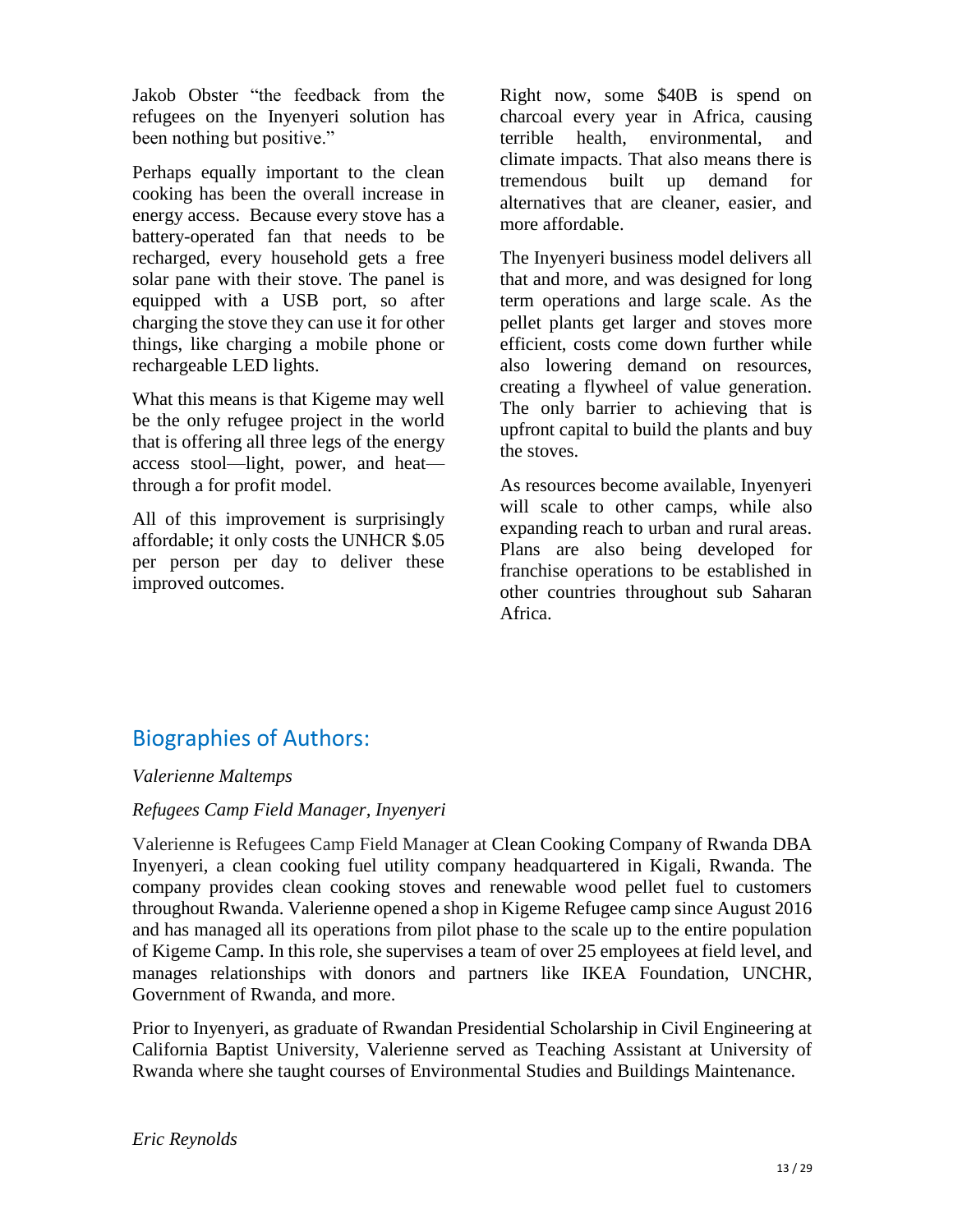Jakob Obster "the feedback from the refugees on the Inyenyeri solution has been nothing but positive."

Perhaps equally important to the clean cooking has been the overall increase in energy access. Because every stove has a battery-operated fan that needs to be recharged, every household gets a free solar pane with their stove. The panel is equipped with a USB port, so after charging the stove they can use it for other things, like charging a mobile phone or rechargeable LED lights.

What this means is that Kigeme may well be the only refugee project in the world that is offering all three legs of the energy access stool—light, power, and heat through a for profit model.

All of this improvement is surprisingly affordable; it only costs the UNHCR \$.05 per person per day to deliver these improved outcomes.

Right now, some \$40B is spend on charcoal every year in Africa, causing terrible health, environmental, and climate impacts. That also means there is tremendous built up demand for alternatives that are cleaner, easier, and more affordable.

The Inyenyeri business model delivers all that and more, and was designed for long term operations and large scale. As the pellet plants get larger and stoves more efficient, costs come down further while also lowering demand on resources, creating a flywheel of value generation. The only barrier to achieving that is upfront capital to build the plants and buy the stoves.

As resources become available, Inyenyeri will scale to other camps, while also expanding reach to urban and rural areas. Plans are also being developed for franchise operations to be established in other countries throughout sub Saharan Africa.

# Biographies of Authors:

#### *Valerienne Maltemps*

#### *Refugees Camp Field Manager, Inyenyeri*

Valerienne is Refugees Camp Field Manager at Clean Cooking Company of Rwanda DBA Inyenyeri, a clean cooking fuel utility company headquartered in Kigali, Rwanda. The company provides clean cooking stoves and renewable wood pellet fuel to customers throughout Rwanda. Valerienne opened a shop in Kigeme Refugee camp since August 2016 and has managed all its operations from pilot phase to the scale up to the entire population of Kigeme Camp. In this role, she supervises a team of over 25 employees at field level, and manages relationships with donors and partners like IKEA Foundation, UNCHR, Government of Rwanda, and more.

Prior to Inyenyeri, as graduate of Rwandan Presidential Scholarship in Civil Engineering at California Baptist University, Valerienne served as Teaching Assistant at University of Rwanda where she taught courses of Environmental Studies and Buildings Maintenance.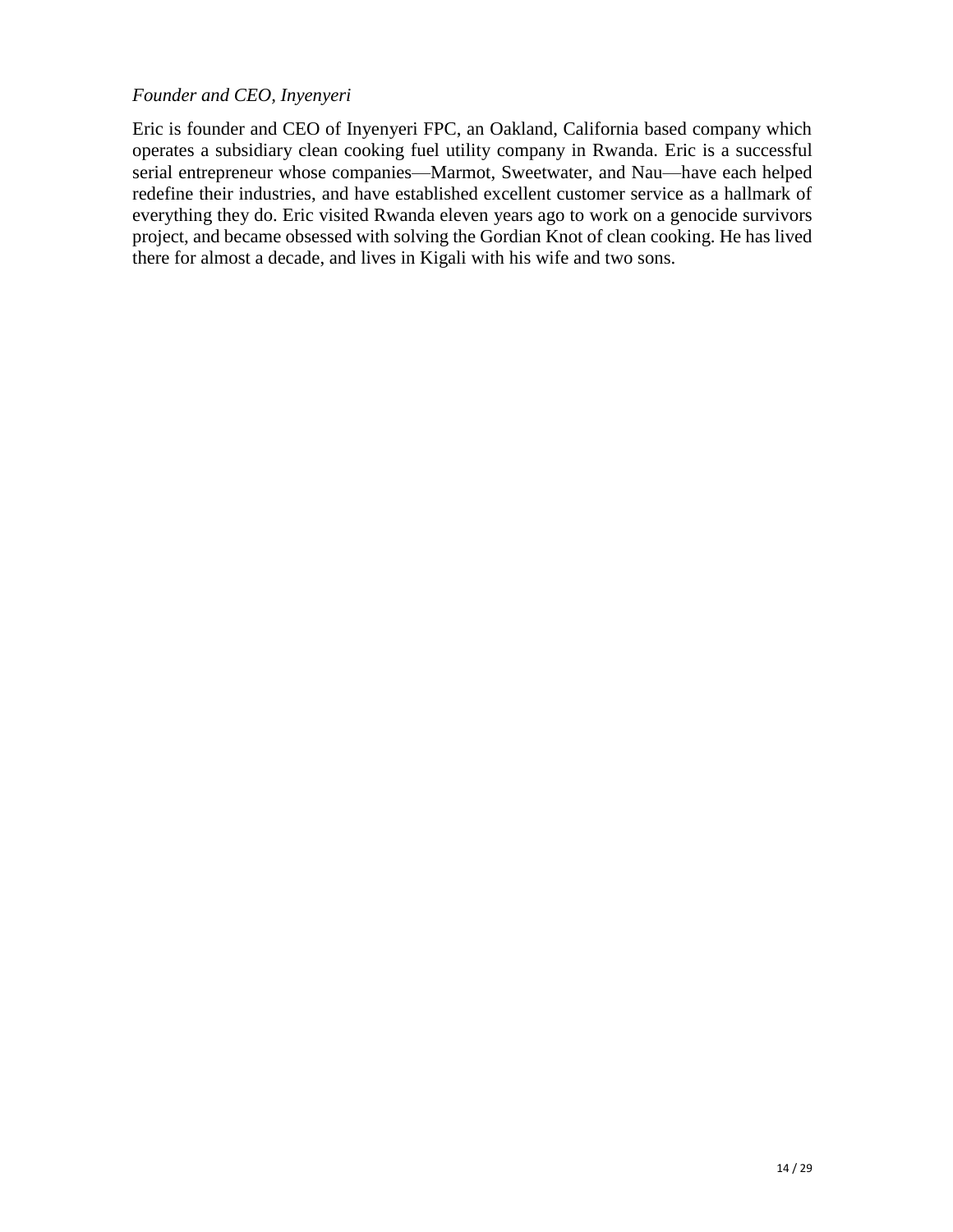#### *Founder and CEO, Inyenyeri*

Eric is founder and CEO of Inyenyeri FPC, an Oakland, California based company which operates a subsidiary clean cooking fuel utility company in Rwanda. Eric is a successful serial entrepreneur whose companies—Marmot, Sweetwater, and Nau—have each helped redefine their industries, and have established excellent customer service as a hallmark of everything they do. Eric visited Rwanda eleven years ago to work on a genocide survivors project, and became obsessed with solving the Gordian Knot of clean cooking. He has lived there for almost a decade, and lives in Kigali with his wife and two sons.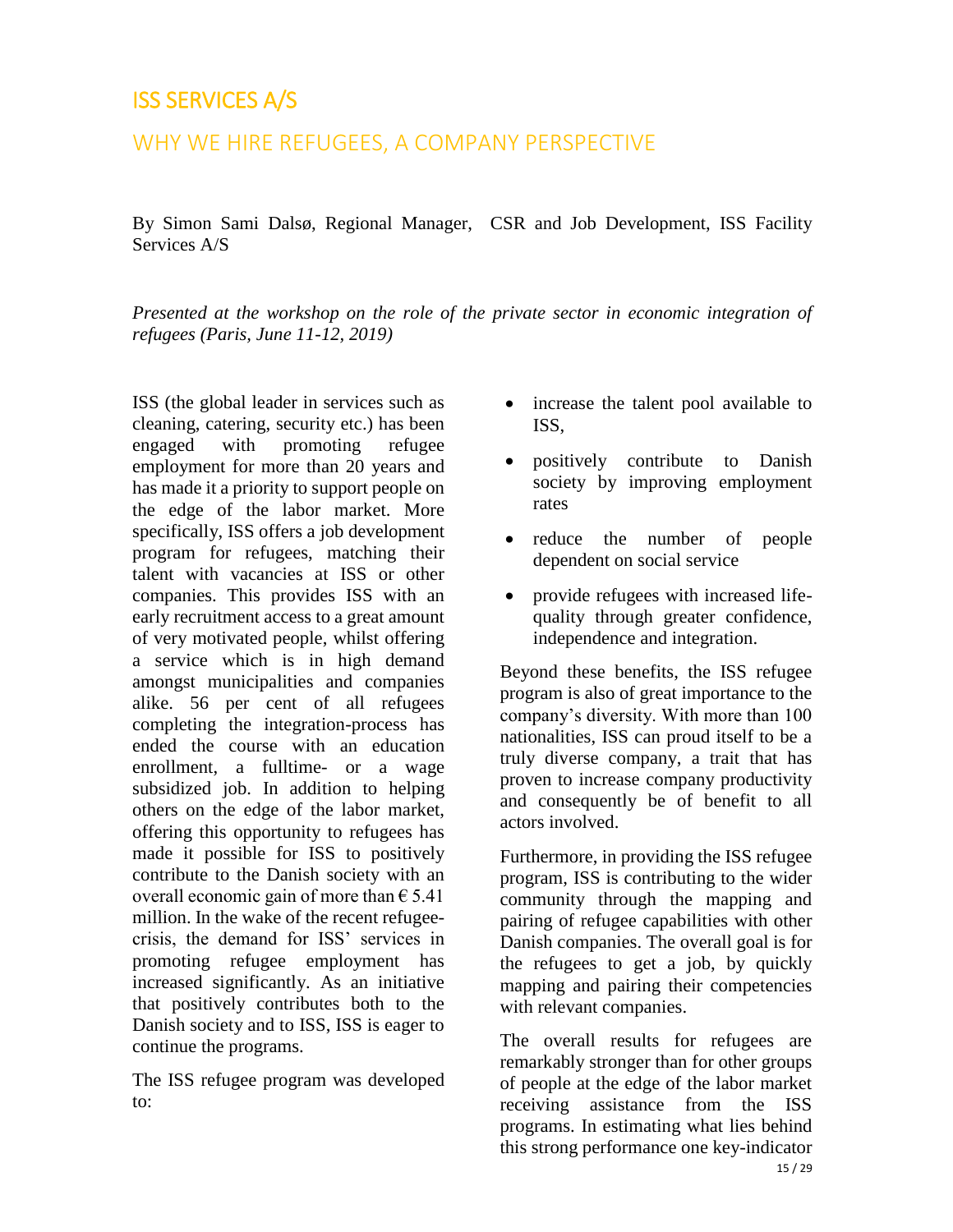## <span id="page-18-0"></span>ISS SERVICES A/S

### WHY WE HIRE REFUGEES, A COMPANY PERSPECTIVE

By Simon Sami Dalsø, Regional Manager, CSR and Job Development, ISS Facility Services A/S

*Presented at the workshop on the role of the private sector in economic integration of refugees (Paris, June 11-12, 2019)* 

ISS (the global leader in services such as cleaning, catering, security etc.) has been engaged with promoting refugee employment for more than 20 years and has made it a priority to support people on the edge of the labor market. More specifically, ISS offers a job development program for refugees, matching their talent with vacancies at ISS or other companies. This provides ISS with an early recruitment access to a great amount of very motivated people, whilst offering a service which is in high demand amongst municipalities and companies alike. 56 per cent of all refugees completing the integration-process has ended the course with an education enrollment, a fulltime- or a wage subsidized job. In addition to helping others on the edge of the labor market, offering this opportunity to refugees has made it possible for ISS to positively contribute to the Danish society with an overall economic gain of more than  $\epsilon$  5.41 million. In the wake of the recent refugeecrisis, the demand for ISS' services in promoting refugee employment has increased significantly. As an initiative that positively contributes both to the Danish society and to ISS, ISS is eager to continue the programs.

The ISS refugee program was developed to:

- increase the talent pool available to ISS,
- positively contribute to Danish society by improving employment rates
- reduce the number of people dependent on social service
- provide refugees with increased lifequality through greater confidence, independence and integration.

Beyond these benefits, the ISS refugee program is also of great importance to the company's diversity. With more than 100 nationalities, ISS can proud itself to be a truly diverse company, a trait that has proven to increase company productivity and consequently be of benefit to all actors involved.

Furthermore, in providing the ISS refugee program, ISS is contributing to the wider community through the mapping and pairing of refugee capabilities with other Danish companies. The overall goal is for the refugees to get a job, by quickly mapping and pairing their competencies with relevant companies.

The overall results for refugees are remarkably stronger than for other groups of people at the edge of the labor market receiving assistance from the ISS programs. In estimating what lies behind this strong performance one key-indicator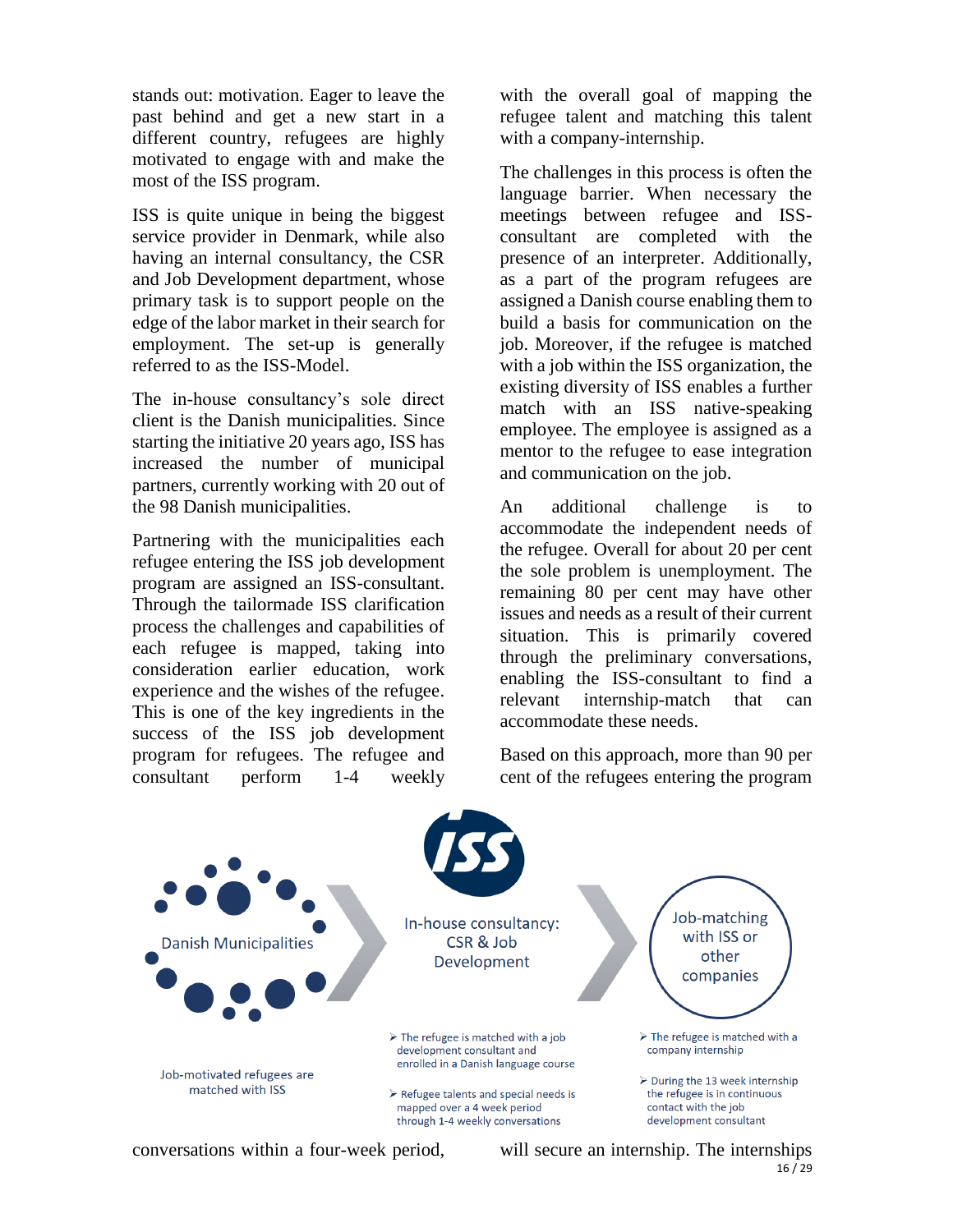stands out: motivation. Eager to leave the past behind and get a new start in a different country, refugees are highly motivated to engage with and make the most of the ISS program.

ISS is quite unique in being the biggest service provider in Denmark, while also having an internal consultancy, the CSR and Job Development department, whose primary task is to support people on the edge of the labor market in their search for employment. The set-up is generally referred to as the ISS-Model.

The in-house consultancy's sole direct client is the Danish municipalities. Since starting the initiative 20 years ago, ISS has increased the number of municipal partners, currently working with 20 out of the 98 Danish municipalities.

Partnering with the municipalities each refugee entering the ISS job development program are assigned an ISS-consultant. Through the tailormade ISS clarification process the challenges and capabilities of each refugee is mapped, taking into consideration earlier education, work experience and the wishes of the refugee. This is one of the key ingredients in the success of the ISS job development program for refugees. The refugee and consultant perform 1-4 weekly

with the overall goal of mapping the refugee talent and matching this talent with a company-internship.

The challenges in this process is often the language barrier. When necessary the meetings between refugee and ISSconsultant are completed with the presence of an interpreter. Additionally, as a part of the program refugees are assigned a Danish course enabling them to build a basis for communication on the job. Moreover, if the refugee is matched with a job within the ISS organization, the existing diversity of ISS enables a further match with an ISS native-speaking employee. The employee is assigned as a mentor to the refugee to ease integration and communication on the job.

An additional challenge is to accommodate the independent needs of the refugee. Overall for about 20 per cent the sole problem is unemployment. The remaining 80 per cent may have other issues and needs as a result of their current situation. This is primarily covered through the preliminary conversations, enabling the ISS-consultant to find a relevant internship-match that can accommodate these needs.

Based on this approach, more than 90 per cent of the refugees entering the program



conversations within a four-week period,

 $16/29$ will secure an internship. The internships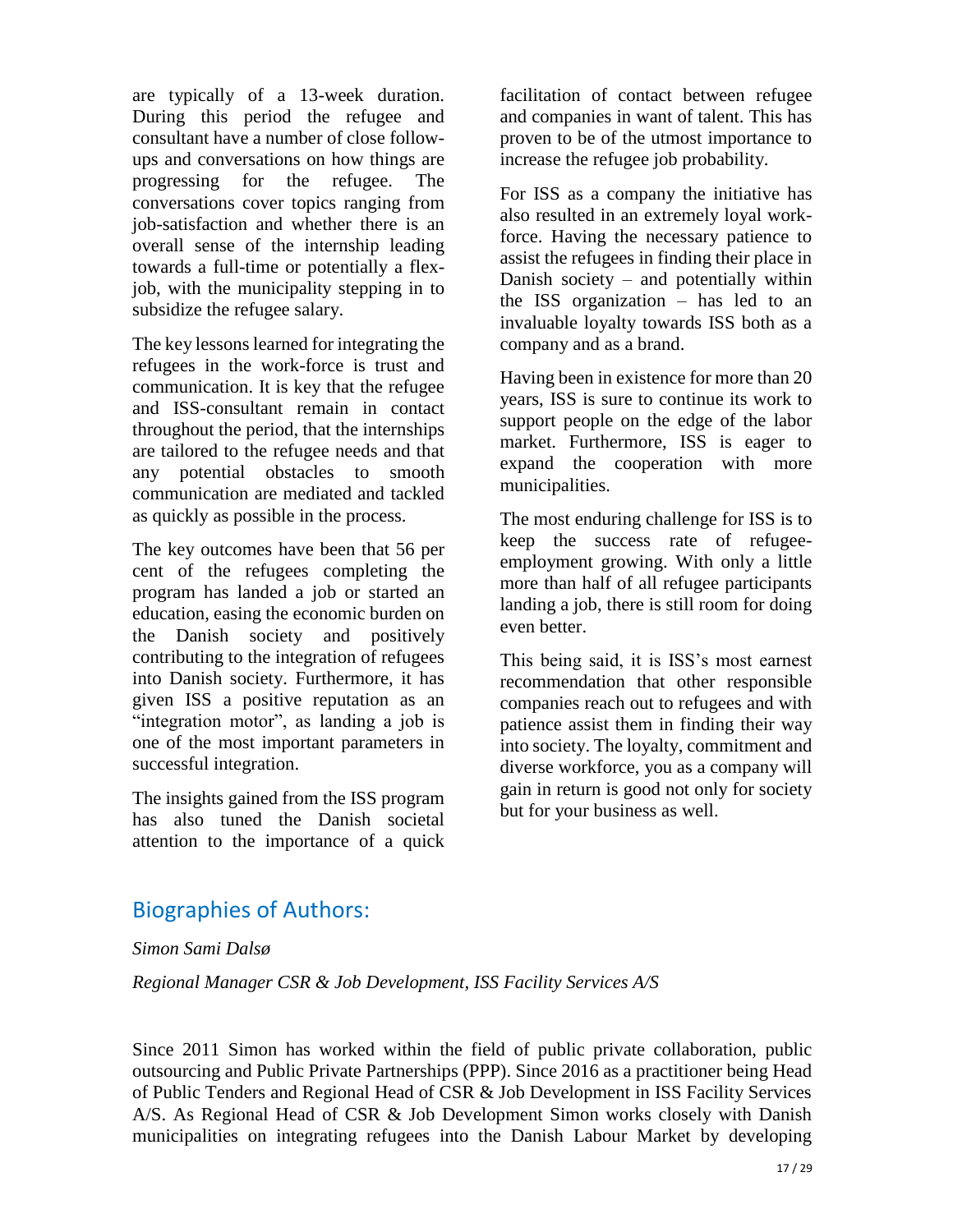are typically of a 13-week duration. During this period the refugee and consultant have a number of close followups and conversations on how things are progressing for the refugee. The conversations cover topics ranging from job-satisfaction and whether there is an overall sense of the internship leading towards a full-time or potentially a flexjob, with the municipality stepping in to subsidize the refugee salary.

The key lessons learned for integrating the refugees in the work-force is trust and communication. It is key that the refugee and ISS-consultant remain in contact throughout the period, that the internships are tailored to the refugee needs and that any potential obstacles to smooth communication are mediated and tackled as quickly as possible in the process.

The key outcomes have been that 56 per cent of the refugees completing the program has landed a job or started an education, easing the economic burden on the Danish society and positively contributing to the integration of refugees into Danish society. Furthermore, it has given ISS a positive reputation as an "integration motor", as landing a job is one of the most important parameters in successful integration.

The insights gained from the ISS program has also tuned the Danish societal attention to the importance of a quick facilitation of contact between refugee and companies in want of talent. This has proven to be of the utmost importance to increase the refugee job probability.

For ISS as a company the initiative has also resulted in an extremely loyal workforce. Having the necessary patience to assist the refugees in finding their place in Danish society – and potentially within the ISS organization – has led to an invaluable loyalty towards ISS both as a company and as a brand.

Having been in existence for more than 20 years, ISS is sure to continue its work to support people on the edge of the labor market. Furthermore, ISS is eager to expand the cooperation with more municipalities.

The most enduring challenge for ISS is to keep the success rate of refugeeemployment growing. With only a little more than half of all refugee participants landing a job, there is still room for doing even better.

This being said, it is ISS's most earnest recommendation that other responsible companies reach out to refugees and with patience assist them in finding their way into society. The loyalty, commitment and diverse workforce, you as a company will gain in return is good not only for society but for your business as well.

## Biographies of Authors:

*Simon Sami Dalsø*

*Regional Manager CSR & Job Development, ISS Facility Services A/S*

Since 2011 Simon has worked within the field of public private collaboration, public outsourcing and Public Private Partnerships (PPP). Since 2016 as a practitioner being Head of Public Tenders and Regional Head of CSR & Job Development in ISS Facility Services A/S. As Regional Head of CSR & Job Development Simon works closely with Danish municipalities on integrating refugees into the Danish Labour Market by developing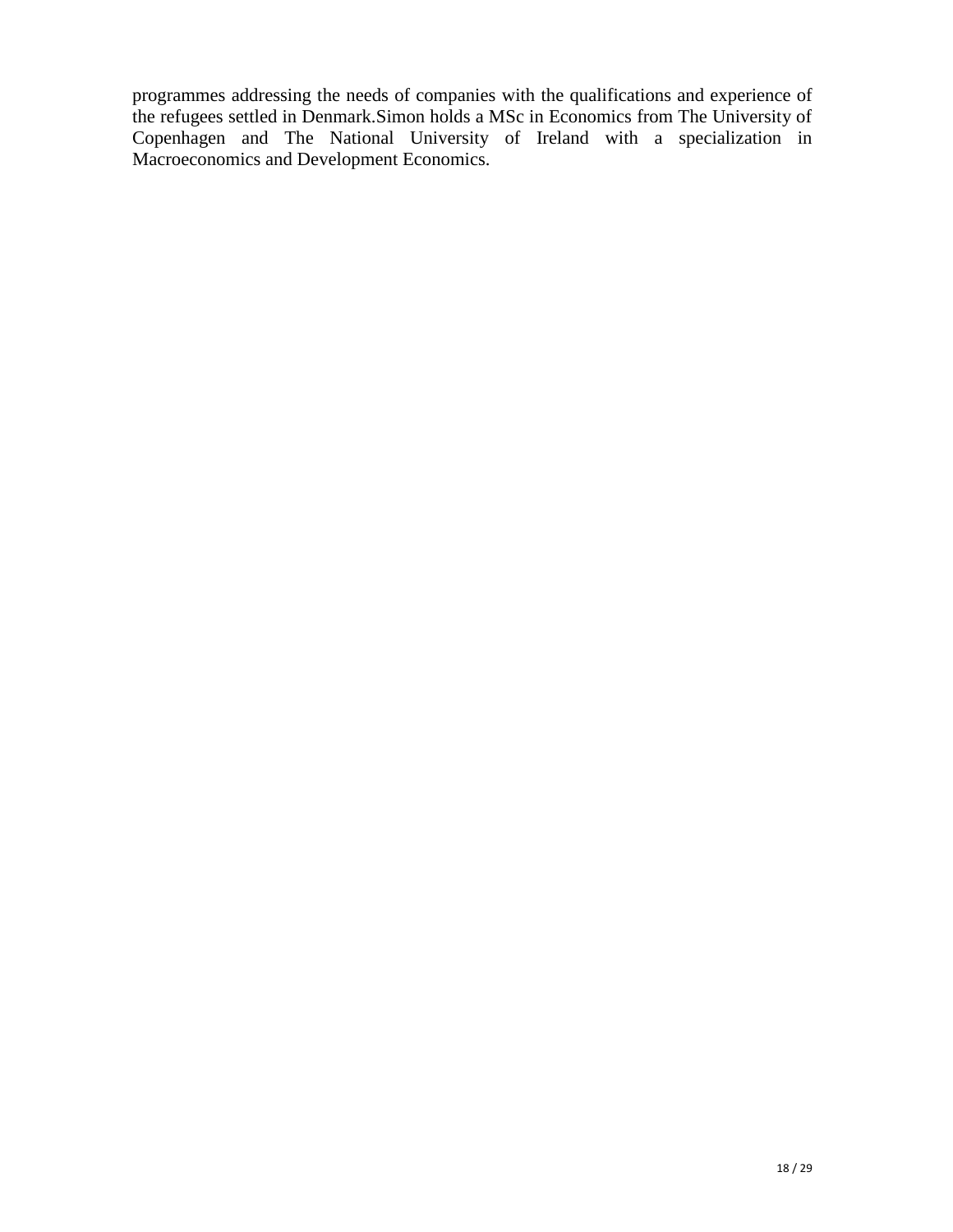programmes addressing the needs of companies with the qualifications and experience of the refugees settled in Denmark.Simon holds a MSc in Economics from The University of Copenhagen and The National University of Ireland with a specialization in Macroeconomics and Development Economics.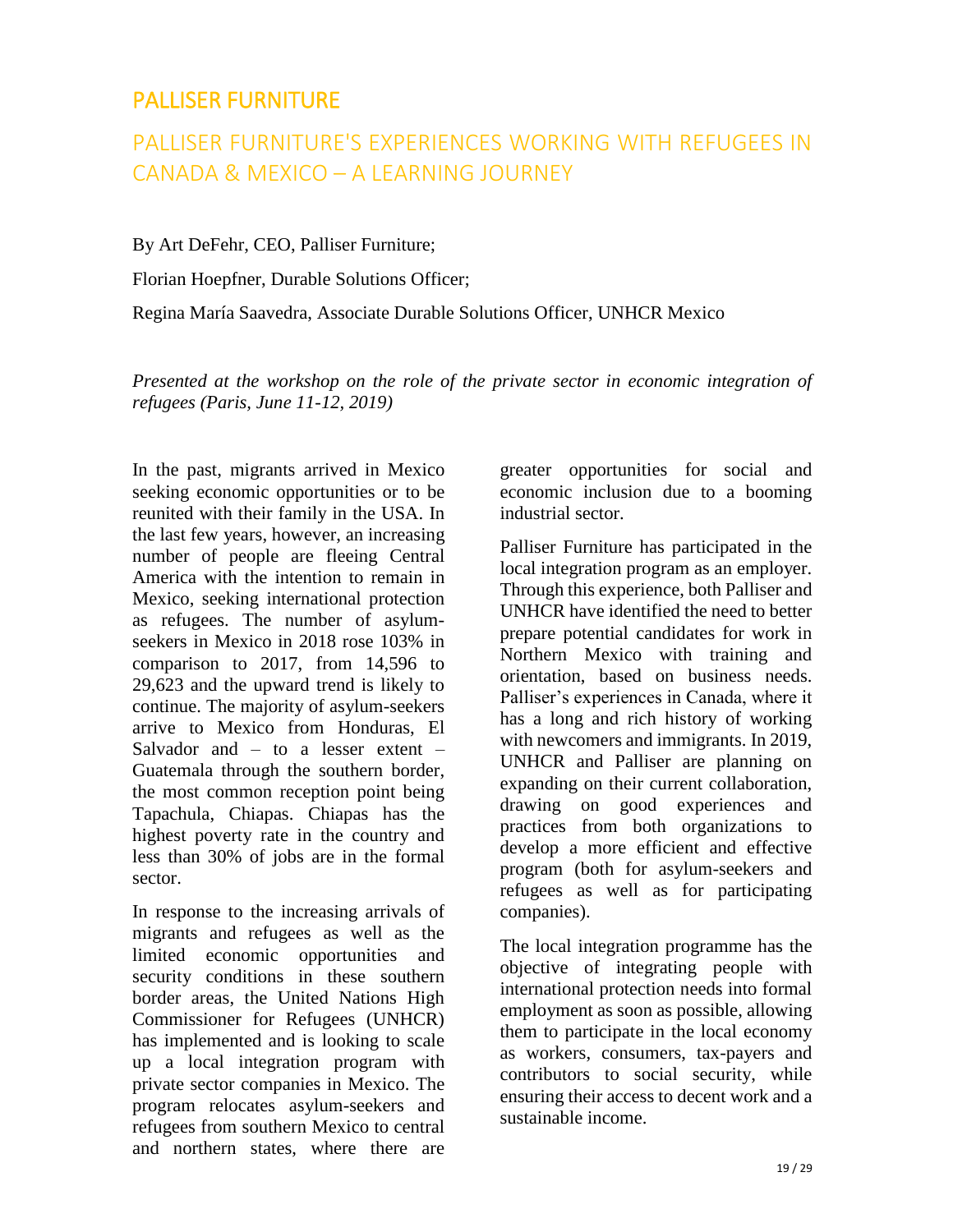### <span id="page-22-0"></span>PALLISER FURNITURE

# PALLISER FURNITURE'S EXPERIENCES WORKING WITH REFUGEES IN CANADA & MEXICO – A LEARNING JOURNEY

By Art DeFehr, CEO, Palliser Furniture;

Florian Hoepfner, Durable Solutions Officer;

Regina María Saavedra, Associate Durable Solutions Officer, UNHCR Mexico

*Presented at the workshop on the role of the private sector in economic integration of refugees (Paris, June 11-12, 2019)* 

In the past, migrants arrived in Mexico seeking economic opportunities or to be reunited with their family in the USA. In the last few years, however, an increasing number of people are fleeing Central America with the intention to remain in Mexico, seeking international protection as refugees. The number of asylumseekers in Mexico in 2018 rose 103% in comparison to 2017, from 14,596 to 29,623 and the upward trend is likely to continue. The majority of asylum-seekers arrive to Mexico from Honduras, El Salvador and  $-$  to a lesser extent  $-$ Guatemala through the southern border, the most common reception point being Tapachula, Chiapas. Chiapas has the highest poverty rate in the country and less than 30% of jobs are in the formal sector.

In response to the increasing arrivals of migrants and refugees as well as the limited economic opportunities and security conditions in these southern border areas, the United Nations High Commissioner for Refugees (UNHCR) has implemented and is looking to scale up a local integration program with private sector companies in Mexico. The program relocates asylum-seekers and refugees from southern Mexico to central and northern states, where there are

greater opportunities for social and economic inclusion due to a booming industrial sector.

Palliser Furniture has participated in the local integration program as an employer. Through this experience, both Palliser and UNHCR have identified the need to better prepare potential candidates for work in Northern Mexico with training and orientation, based on business needs. Palliser's experiences in Canada, where it has a long and rich history of working with newcomers and immigrants. In 2019, UNHCR and Palliser are planning on expanding on their current collaboration, drawing on good experiences and practices from both organizations to develop a more efficient and effective program (both for asylum-seekers and refugees as well as for participating companies).

The local integration programme has the objective of integrating people with international protection needs into formal employment as soon as possible, allowing them to participate in the local economy as workers, consumers, tax-payers and contributors to social security, while ensuring their access to decent work and a sustainable income.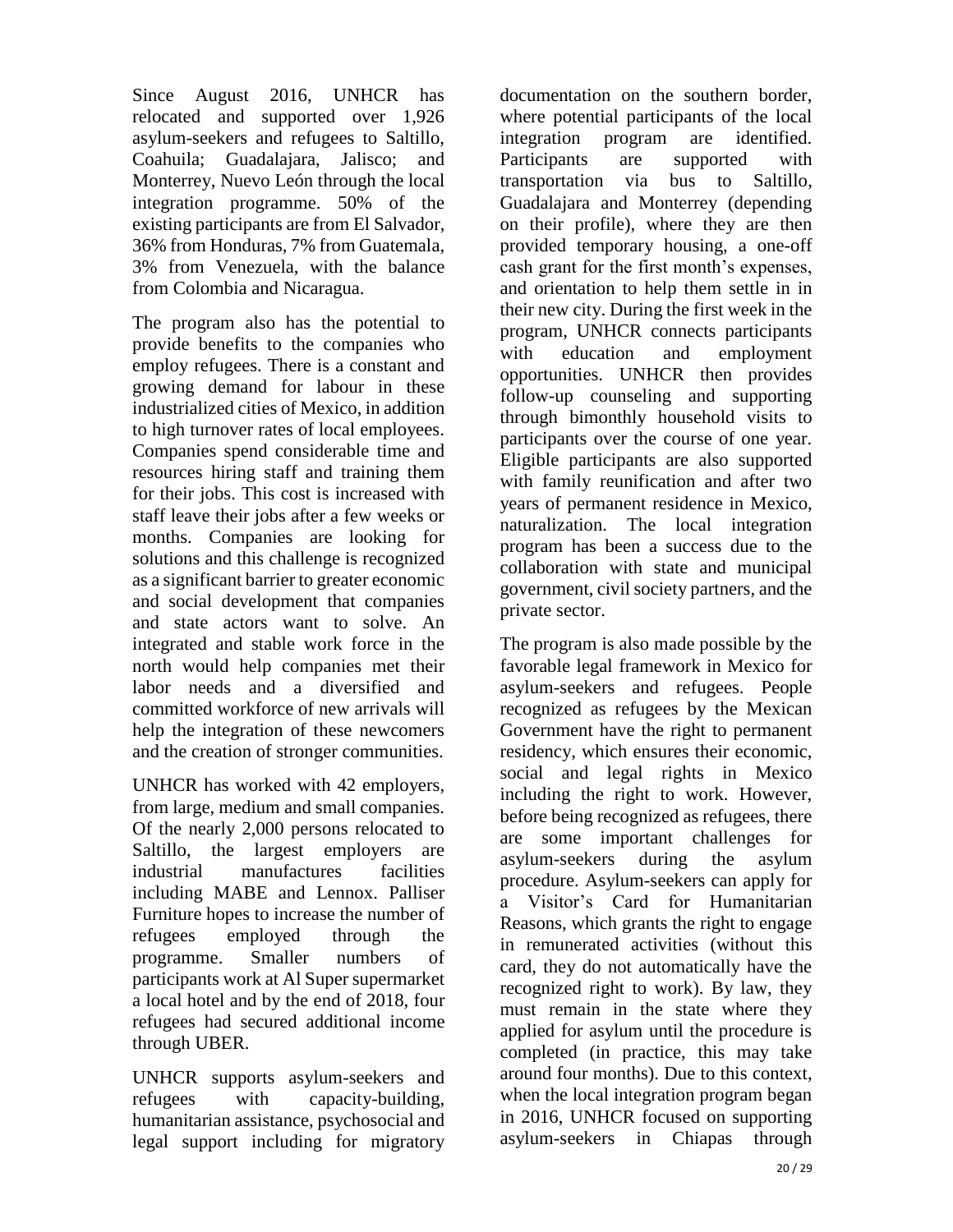Since August 2016, UNHCR has relocated and supported over 1,926 asylum-seekers and refugees to Saltillo, Coahuila; Guadalajara, Jalisco; and Monterrey, Nuevo León through the local integration programme. 50% of the existing participants are from El Salvador, 36% from Honduras, 7% from Guatemala, 3% from Venezuela, with the balance from Colombia and Nicaragua.

The program also has the potential to provide benefits to the companies who employ refugees. There is a constant and growing demand for labour in these industrialized cities of Mexico, in addition to high turnover rates of local employees. Companies spend considerable time and resources hiring staff and training them for their jobs. This cost is increased with staff leave their jobs after a few weeks or months. Companies are looking for solutions and this challenge is recognized as a significant barrier to greater economic and social development that companies and state actors want to solve. An integrated and stable work force in the north would help companies met their labor needs and a diversified and committed workforce of new arrivals will help the integration of these newcomers and the creation of stronger communities.

UNHCR has worked with 42 employers, from large, medium and small companies. Of the nearly 2,000 persons relocated to Saltillo, the largest employers are industrial manufactures facilities including MABE and Lennox. Palliser Furniture hopes to increase the number of refugees employed through the programme. Smaller numbers of participants work at Al Super supermarket a local hotel and by the end of 2018, four refugees had secured additional income through UBER.

UNHCR supports asylum-seekers and refugees with capacity-building, humanitarian assistance, psychosocial and legal support including for migratory

documentation on the southern border, where potential participants of the local integration program are identified. Participants are supported with transportation via bus to Saltillo, Guadalajara and Monterrey (depending on their profile), where they are then provided temporary housing, a one-off cash grant for the first month's expenses, and orientation to help them settle in in their new city. During the first week in the program, UNHCR connects participants with education and employment opportunities. UNHCR then provides follow-up counseling and supporting through bimonthly household visits to participants over the course of one year. Eligible participants are also supported with family reunification and after two years of permanent residence in Mexico, naturalization. The local integration program has been a success due to the collaboration with state and municipal government, civil society partners, and the private sector.

The program is also made possible by the favorable legal framework in Mexico for asylum-seekers and refugees. People recognized as refugees by the Mexican Government have the right to permanent residency, which ensures their economic, social and legal rights in Mexico including the right to work. However, before being recognized as refugees, there are some important challenges for asylum-seekers during the asylum procedure. Asylum-seekers can apply for a Visitor's Card for Humanitarian Reasons, which grants the right to engage in remunerated activities (without this card, they do not automatically have the recognized right to work). By law, they must remain in the state where they applied for asylum until the procedure is completed (in practice, this may take around four months). Due to this context, when the local integration program began in 2016, UNHCR focused on supporting asylum-seekers in Chiapas through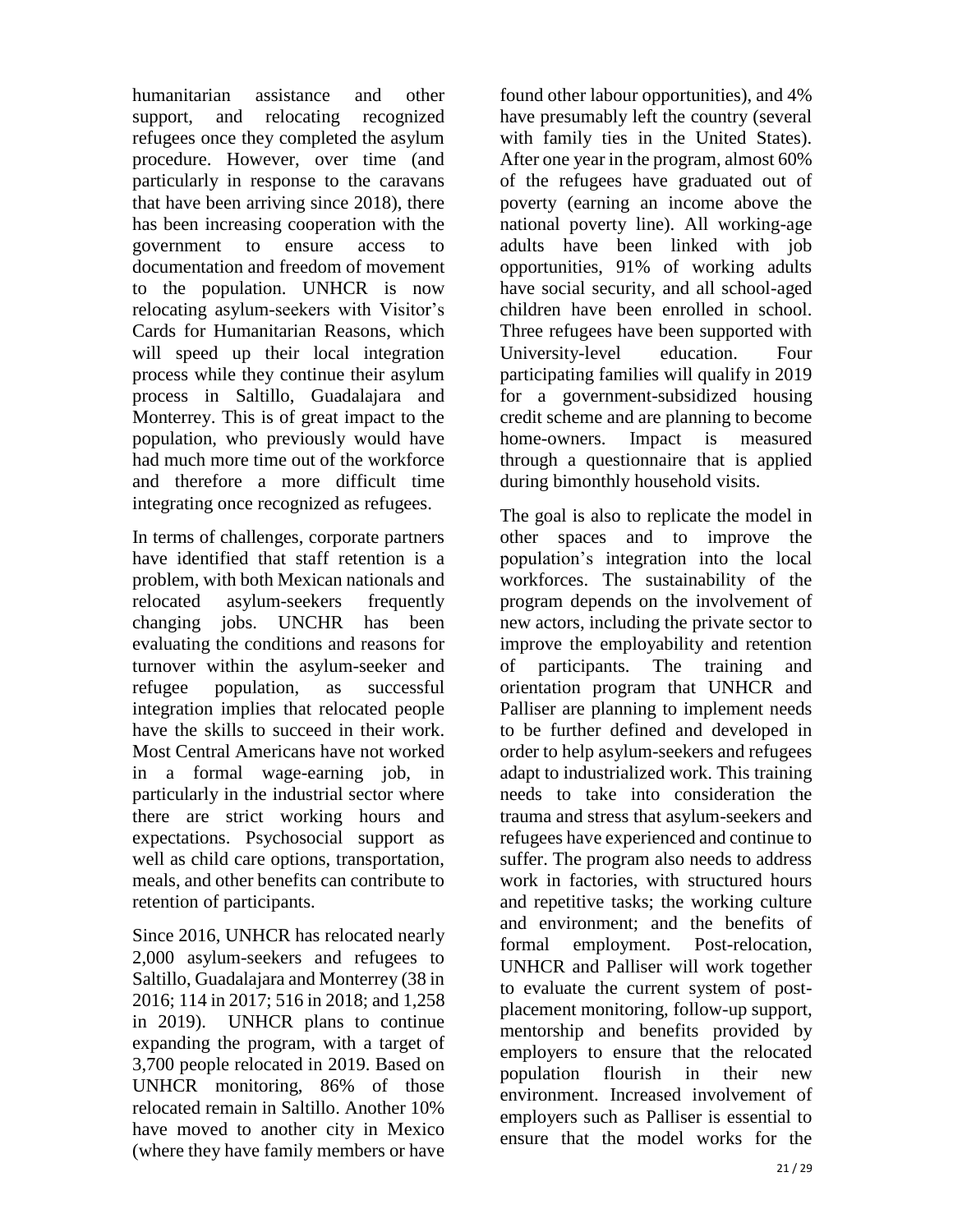humanitarian assistance and other support, and relocating recognized refugees once they completed the asylum procedure. However, over time (and particularly in response to the caravans that have been arriving since 2018), there has been increasing cooperation with the government to ensure access to documentation and freedom of movement to the population. UNHCR is now relocating asylum-seekers with Visitor's Cards for Humanitarian Reasons, which will speed up their local integration process while they continue their asylum process in Saltillo, Guadalajara and Monterrey. This is of great impact to the population, who previously would have had much more time out of the workforce and therefore a more difficult time integrating once recognized as refugees.

In terms of challenges, corporate partners have identified that staff retention is a problem, with both Mexican nationals and relocated asylum-seekers frequently changing jobs. UNCHR has been evaluating the conditions and reasons for turnover within the asylum-seeker and refugee population, as successful integration implies that relocated people have the skills to succeed in their work. Most Central Americans have not worked in a formal wage-earning job, in particularly in the industrial sector where there are strict working hours and expectations. Psychosocial support as well as child care options, transportation, meals, and other benefits can contribute to retention of participants.

Since 2016, UNHCR has relocated nearly 2,000 asylum-seekers and refugees to Saltillo, Guadalajara and Monterrey (38 in 2016; 114 in 2017; 516 in 2018; and 1,258 in 2019). UNHCR plans to continue expanding the program, with a target of 3,700 people relocated in 2019. Based on UNHCR monitoring, 86% of those relocated remain in Saltillo. Another 10% have moved to another city in Mexico (where they have family members or have

found other labour opportunities), and 4% have presumably left the country (several with family ties in the United States). After one year in the program, almost 60% of the refugees have graduated out of poverty (earning an income above the national poverty line). All working-age adults have been linked with job opportunities, 91% of working adults have social security, and all school-aged children have been enrolled in school. Three refugees have been supported with University-level education. Four participating families will qualify in 2019 for a government-subsidized housing credit scheme and are planning to become home-owners. Impact is measured through a questionnaire that is applied during bimonthly household visits.

The goal is also to replicate the model in other spaces and to improve the population's integration into the local workforces. The sustainability of the program depends on the involvement of new actors, including the private sector to improve the employability and retention of participants. The training and orientation program that UNHCR and Palliser are planning to implement needs to be further defined and developed in order to help asylum-seekers and refugees adapt to industrialized work. This training needs to take into consideration the trauma and stress that asylum-seekers and refugees have experienced and continue to suffer. The program also needs to address work in factories, with structured hours and repetitive tasks; the working culture and environment; and the benefits of formal employment. Post-relocation, UNHCR and Palliser will work together to evaluate the current system of postplacement monitoring, follow-up support, mentorship and benefits provided by employers to ensure that the relocated population flourish in their new environment. Increased involvement of employers such as Palliser is essential to ensure that the model works for the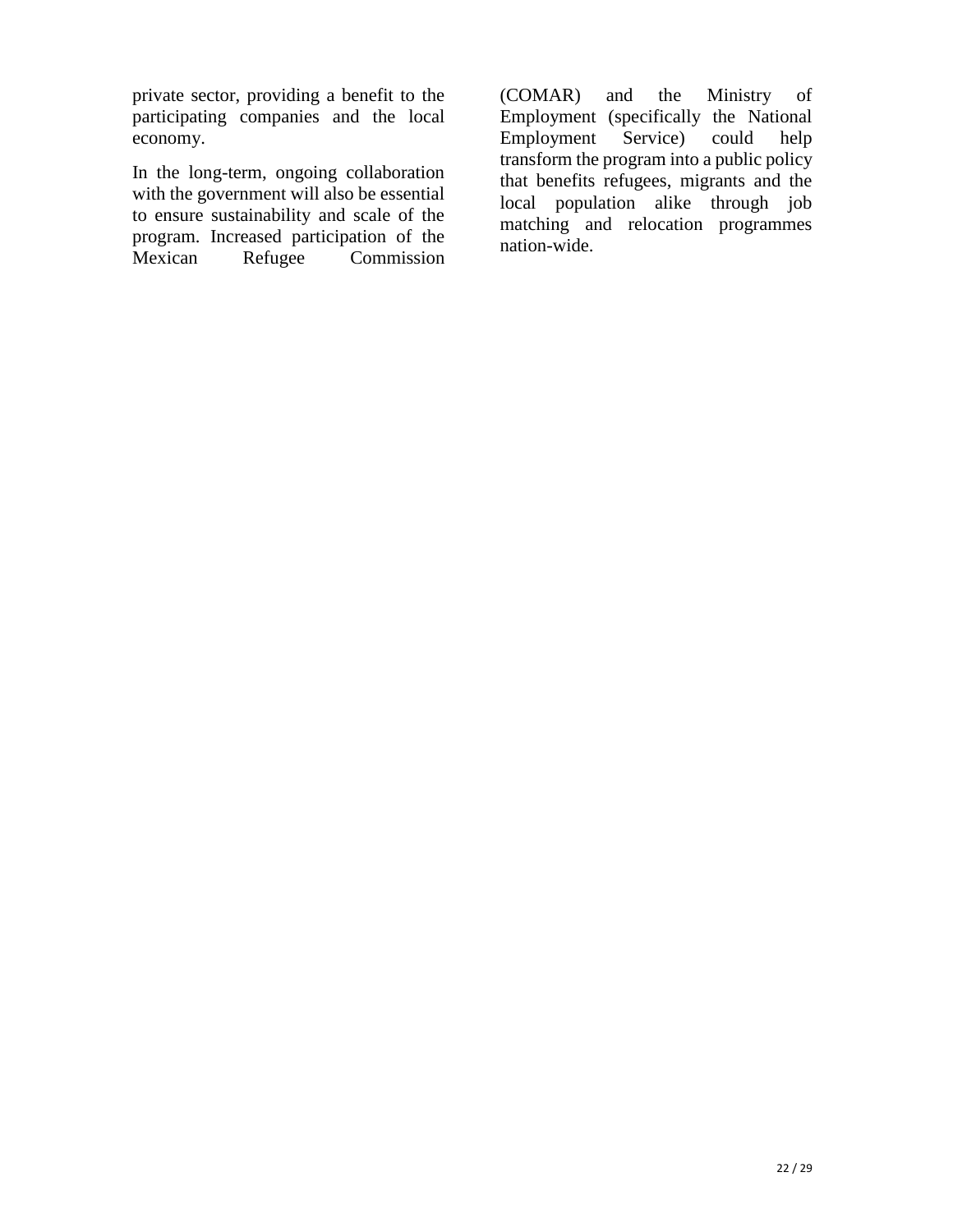private sector, providing a benefit to the participating companies and the local economy.

In the long-term, ongoing collaboration with the government will also be essential to ensure sustainability and scale of the program. Increased participation of the<br>Mexican Refugee Commission Commission

(COMAR) and the Ministry of Employment (specifically the National Employment Service) could help transform the program into a public policy that benefits refugees, migrants and the local population alike through job matching and relocation programmes nation-wide.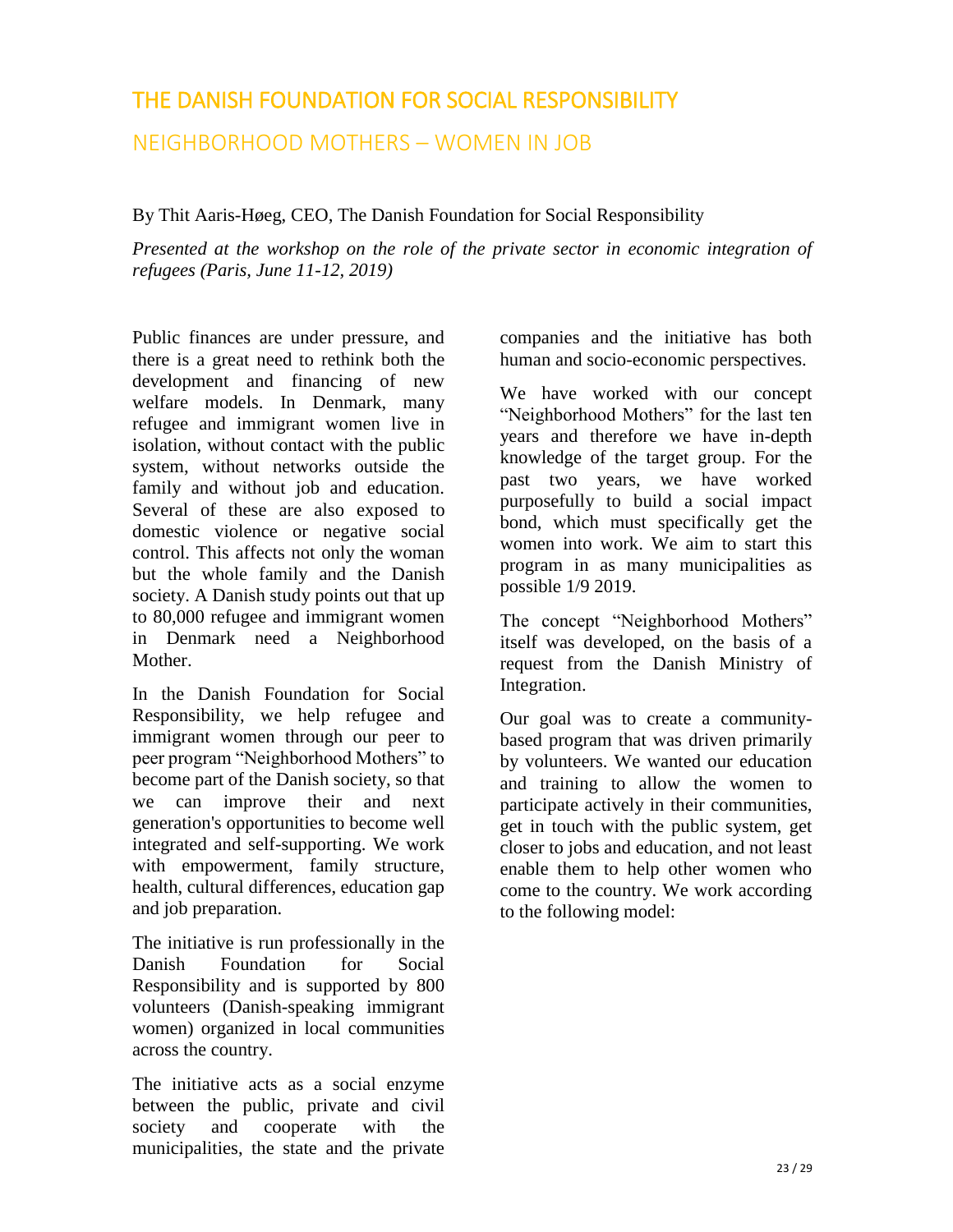## <span id="page-26-0"></span>THE DANISH FOUNDATION FOR SOCIAL RESPONSIBILITY

NEIGHBORHOOD MOTHERS – WOMEN IN JOB

By Thit Aaris-Høeg, CEO, The Danish Foundation for Social Responsibility

*Presented at the workshop on the role of the private sector in economic integration of refugees (Paris, June 11-12, 2019)* 

Public finances are under pressure, and there is a great need to rethink both the development and financing of new welfare models. In Denmark, many refugee and immigrant women live in isolation, without contact with the public system, without networks outside the family and without job and education. Several of these are also exposed to domestic violence or negative social control. This affects not only the woman but the whole family and the Danish society. A Danish study points out that up to 80,000 refugee and immigrant women in Denmark need a Neighborhood Mother.

In the Danish Foundation for Social Responsibility, we help refugee and immigrant women through our peer to peer program "Neighborhood Mothers" to become part of the Danish society, so that we can improve their and next generation's opportunities to become well integrated and self-supporting. We work with empowerment, family structure, health, cultural differences, education gap and job preparation.

The initiative is run professionally in the Danish Foundation for Social Responsibility and is supported by 800 volunteers (Danish-speaking immigrant women) organized in local communities across the country.

The initiative acts as a social enzyme between the public, private and civil society and cooperate with the municipalities, the state and the private

companies and the initiative has both human and socio-economic perspectives.

We have worked with our concept "Neighborhood Mothers" for the last ten years and therefore we have in-depth knowledge of the target group. For the past two years, we have worked purposefully to build a social impact bond, which must specifically get the women into work. We aim to start this program in as many municipalities as possible 1/9 2019.

The concept "Neighborhood Mothers" itself was developed, on the basis of a request from the Danish Ministry of Integration.

Our goal was to create a communitybased program that was driven primarily by volunteers. We wanted our education and training to allow the women to participate actively in their communities, get in touch with the public system, get closer to jobs and education, and not least enable them to help other women who come to the country. We work according to the following model: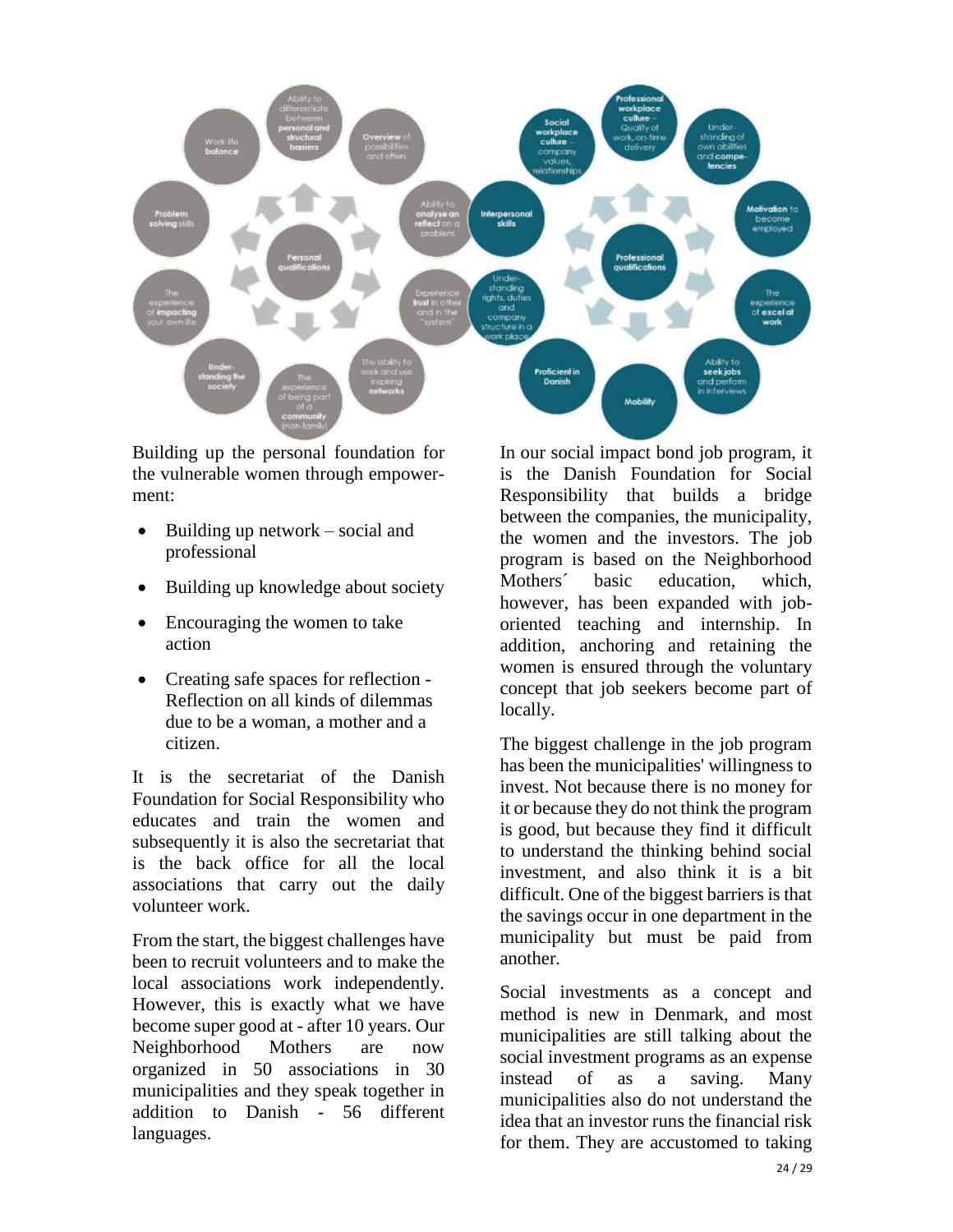

Building up the personal foundation for the vulnerable women through empowerment:

- Building up network  $-$  social and professional
- Building up knowledge about society
- Encouraging the women to take action
- Creating safe spaces for reflection Reflection on all kinds of dilemmas due to be a woman, a mother and a citizen.

It is the secretariat of the Danish Foundation for Social Responsibility who educates and train the women and subsequently it is also the secretariat that is the back office for all the local associations that carry out the daily volunteer work.

From the start, the biggest challenges have been to recruit volunteers and to make the local associations work independently. However, this is exactly what we have become super good at - after 10 years. Our Neighborhood Mothers are now organized in 50 associations in 30 municipalities and they speak together in addition to Danish - 56 different languages.

In our social impact bond job program, it is the Danish Foundation for Social Responsibility that builds a bridge between the companies, the municipality, the women and the investors. The job program is based on the Neighborhood Mothers´ basic education, which, however, has been expanded with joboriented teaching and internship. In addition, anchoring and retaining the women is ensured through the voluntary concept that job seekers become part of locally.

The biggest challenge in the job program has been the municipalities' willingness to invest. Not because there is no money for it or because they do not think the program is good, but because they find it difficult to understand the thinking behind social investment, and also think it is a bit difficult. One of the biggest barriers is that the savings occur in one department in the municipality but must be paid from another.

Social investments as a concept and method is new in Denmark, and most municipalities are still talking about the social investment programs as an expense instead of as a saving. Many municipalities also do not understand the idea that an investor runs the financial risk for them. They are accustomed to taking